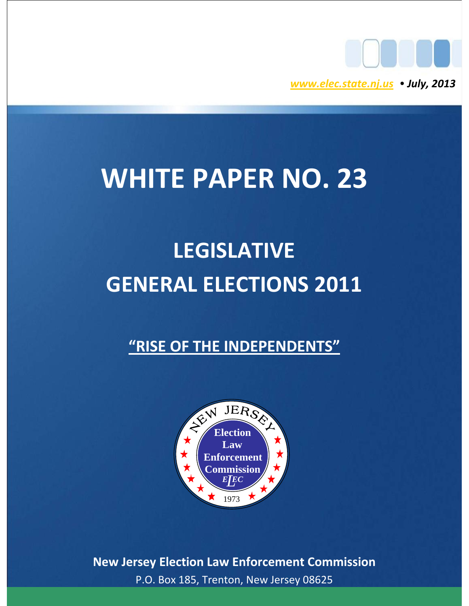

# **WHITE PAPER NO. 23**

# **LEGISLATIVE GENERAL ELECTIONS 2011**

# **"RISE OF THE INDEPENDENTS"**



**New Jersey Election Law Enforcement Commission** P.O. Box 185, Trenton, New Jersey 08625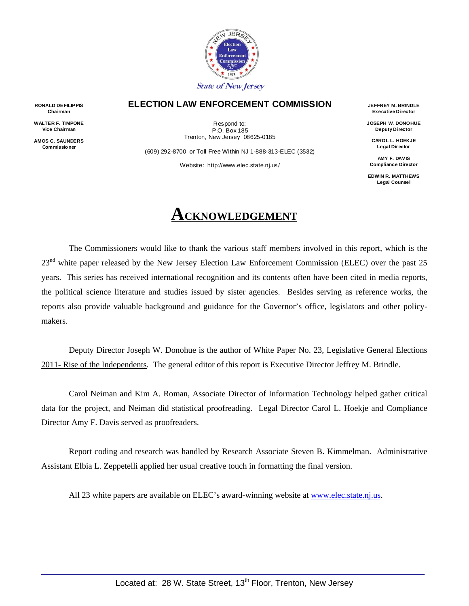

#### **ELECTION LAW ENFORCEMENT COMMISSION**

Respond to: P.O. Box 185 Trenton, New Jersey 08625-0185

(609) 292-8700 or Toll Free Within NJ 1-888-313-ELEC (3532) Website: http://www.elec.state.nj.us/

**JEFFREY M. BRINDLE Executive Director** 

**JOSEPH W. DONOHUE Deputy Director** 

**CAROL L. HOEKJE Legal Director** 

**AMY F. DAVIS Compliance Director** 

**EDWIN R. MATTHEWS Legal Counsel** 

# **ACKNOWLEDGEMENT**

The Commissioners would like to thank the various staff members involved in this report, which is the 23<sup>nd</sup> white paper released by the New Jersey Election Law Enforcement Commission (ELEC) over the past 25 years. This series has received international recognition and its contents often have been cited in media reports, the political science literature and studies issued by sister agencies. Besides serving as reference works, the reports also provide valuable background and guidance for the Governor's office, legislators and other policymakers.

Deputy Director Joseph W. Donohue is the author of White Paper No. 23, Legislative General Elections 2011- Rise of the Independents. The general editor of this report is Executive Director Jeffrey M. Brindle.

Carol Neiman and Kim A. Roman, Associate Director of Information Technology helped gather critical data for the project, and Neiman did statistical proofreading. Legal Director Carol L. Hoekje and Compliance Director Amy F. Davis served as proofreaders.

Report coding and research was handled by Research Associate Steven B. Kimmelman. Administrative Assistant Elbia L. Zeppetelli applied her usual creative touch in formatting the final version.

All 23 white papers are available on ELEC's award-winning website at [www.elec.state.nj.us](http://www.elec.state.nj.us/).

**RONALD DEFILIPPIS Chairman** 

**WALTER F. TIMPONE Vice Chairman** 

**AMOS C. SAUNDERS Commissio ner**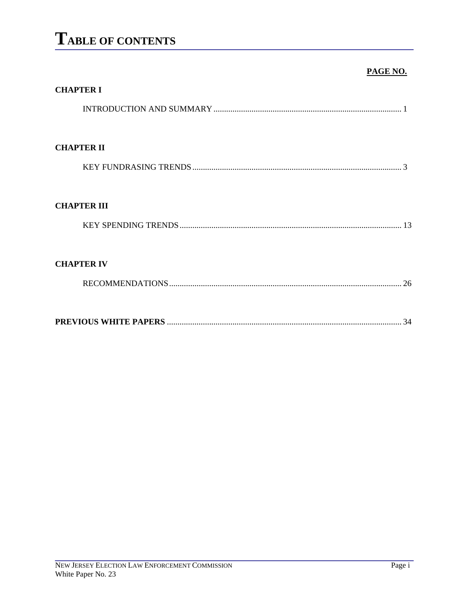# TABLE OF CONTENTS

#### PAGE NO.

| <b>CHAPTER I</b>   |
|--------------------|
|                    |
|                    |
| <b>CHAPTER II</b>  |
|                    |
|                    |
| <b>CHAPTER III</b> |
|                    |
|                    |
| <b>CHAPTER IV</b>  |
|                    |
|                    |
|                    |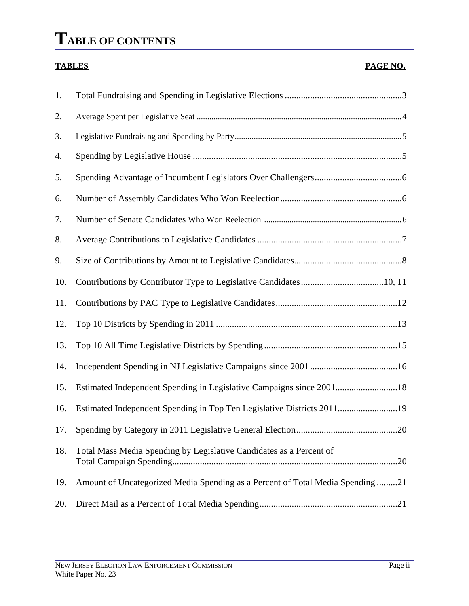# **TABLE OF CONTENTS**

#### **TABLES PAGE NO.**

| 1.  |                                                                                |
|-----|--------------------------------------------------------------------------------|
| 2.  |                                                                                |
| 3.  |                                                                                |
| 4.  |                                                                                |
| 5.  |                                                                                |
| 6.  |                                                                                |
| 7.  |                                                                                |
| 8.  |                                                                                |
| 9.  |                                                                                |
| 10. |                                                                                |
| 11. |                                                                                |
| 12. |                                                                                |
| 13. |                                                                                |
| 14. |                                                                                |
| 15. | Estimated Independent Spending in Legislative Campaigns since 200118           |
| 16. | Estimated Independent Spending in Top Ten Legislative Districts 201119         |
| 17. | 20                                                                             |
| 18. | Total Mass Media Spending by Legislative Candidates as a Percent of            |
| 19. | Amount of Uncategorized Media Spending as a Percent of Total Media Spending 21 |
| 20. |                                                                                |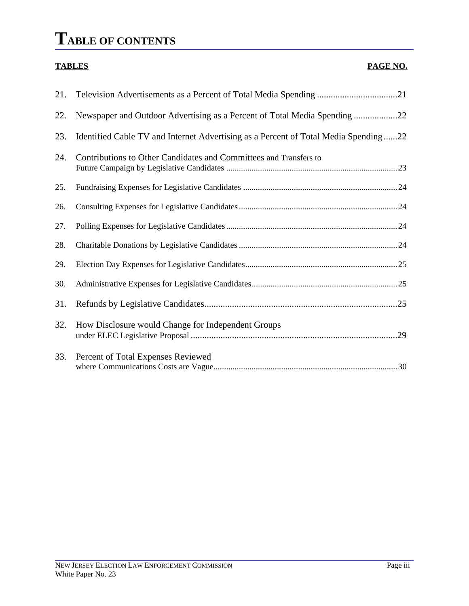# **TABLE OF CONTENTS**

#### **TABLES PAGE NO.**

| 21. |                                                                                     |
|-----|-------------------------------------------------------------------------------------|
| 22. | Newspaper and Outdoor Advertising as a Percent of Total Media Spending 22           |
| 23. | Identified Cable TV and Internet Advertising as a Percent of Total Media Spending22 |
| 24. | Contributions to Other Candidates and Committees and Transfers to                   |
| 25. |                                                                                     |
| 26. |                                                                                     |
| 27. |                                                                                     |
| 28. |                                                                                     |
| 29. |                                                                                     |
| 30. |                                                                                     |
| 31. |                                                                                     |
| 32. | How Disclosure would Change for Independent Groups                                  |
| 33. | Percent of Total Expenses Reviewed                                                  |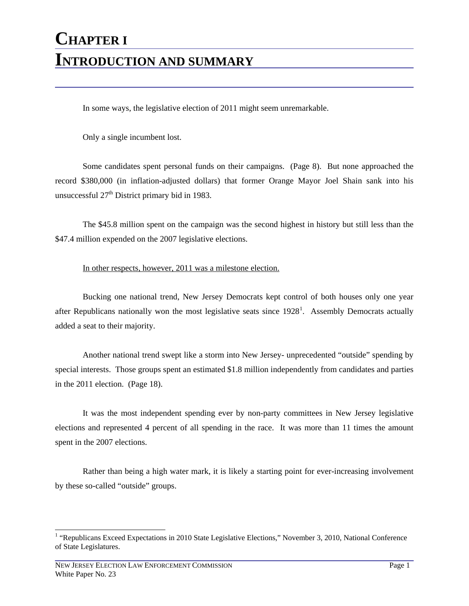# **CHAPTER I INTRODUCTION AND SUMMARY**

In some ways, the legislative election of 2011 might seem unremarkable.

Only a single incumbent lost.

Some candidates spent personal funds on their campaigns. (Page 8). But none approached the record \$380,000 (in inflation-adjusted dollars) that former Orange Mayor Joel Shain sank into his unsuccessful  $27<sup>th</sup>$  District primary bid in 1983.

The \$45.8 million spent on the campaign was the second highest in history but still less than the \$47.4 million expended on the 2007 legislative elections.

#### In other respects, however, 2011 was a milestone election.

Bucking one national trend, New Jersey Democrats kept control of both houses only one year after Republicans nationally won the most legislative seats since  $1928<sup>1</sup>$  $1928<sup>1</sup>$ . Assembly Democrats actually added a seat to their majority.

Another national trend swept like a storm into New Jersey- unprecedented "outside" spending by special interests. Those groups spent an estimated \$1.8 million independently from candidates and parties in the 2011 election. (Page 18).

It was the most independent spending ever by non-party committees in New Jersey legislative elections and represented 4 percent of all spending in the race. It was more than 11 times the amount spent in the 2007 elections.

Rather than being a high water mark, it is likely a starting point for ever-increasing involvement by these so-called "outside" groups.

<span id="page-5-0"></span><sup>&</sup>lt;sup>1</sup> "Republicans Exceed Expectations in 2010 State Legislative Elections," November 3, 2010, National Conference of State Legislatures.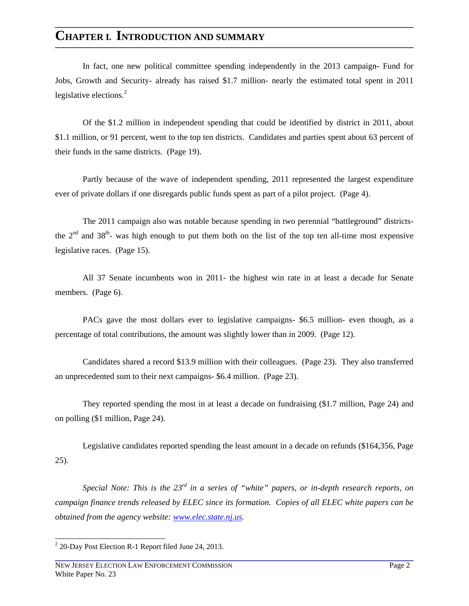### **CHAPTER I. INTRODUCTION AND SUMMARY**

In fact, one new political committee spending independently in the 2013 campaign- Fund for Jobs, Growth and Security- already has raised \$1.7 million- nearly the estimated total spent in 2011 legislative elections.<sup>[2](#page-6-0)</sup>

Of the \$1.2 million in independent spending that could be identified by district in 2011, about \$1.1 million, or 91 percent, went to the top ten districts. Candidates and parties spent about 63 percent of their funds in the same districts. (Page 19).

Partly because of the wave of independent spending, 2011 represented the largest expenditure ever of private dollars if one disregards public funds spent as part of a pilot project. (Page 4).

The 2011 campaign also was notable because spending in two perennial "battleground" districtsthe  $2<sup>nd</sup>$  and  $38<sup>th</sup>$ - was high enough to put them both on the list of the top ten all-time most expensive legislative races. (Page 15).

All 37 Senate incumbents won in 2011- the highest win rate in at least a decade for Senate members. (Page 6).

PACs gave the most dollars ever to legislative campaigns- \$6.5 million- even though, as a percentage of total contributions, the amount was slightly lower than in 2009. (Page 12).

Candidates shared a record \$13.9 million with their colleagues. (Page 23). They also transferred an unprecedented sum to their next campaigns- \$6.4 million. (Page 23).

They reported spending the most in at least a decade on fundraising (\$1.7 million, Page 24) and on polling (\$1 million, Page 24).

Legislative candidates reported spending the least amount in a decade on refunds (\$164,356, Page 25).

*Special Note: This is the 23rd in a series of "white" papers, or in-depth research reports, on campaign finance trends released by ELEC since its formation. Copies of all ELEC white papers can be obtained from the agency website: [www.elec.state.nj.us](http://www.elec.state.nj.us/).* 

<span id="page-6-0"></span> $2^{2}$  20-Day Post Election R-1 Report filed June 24, 2013.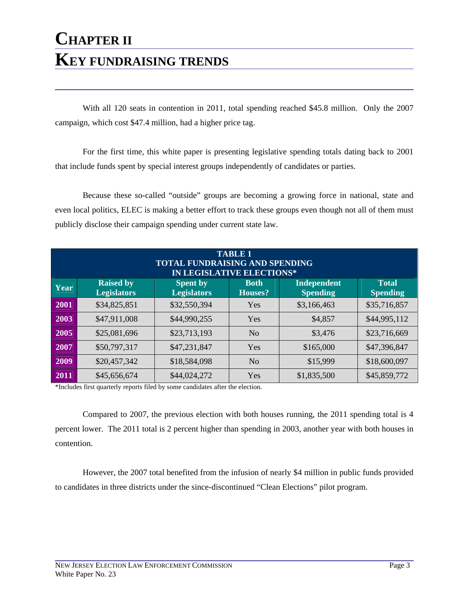With all 120 seats in contention in 2011, total spending reached \$45.8 million. Only the 2007 campaign, which cost \$47.4 million, had a higher price tag.

For the first time, this white paper is presenting legislative spending totals dating back to 2001 that include funds spent by special interest groups independently of candidates or parties.

Because these so-called "outside" groups are becoming a growing force in national, state and even local politics, ELEC is making a better effort to track these groups even though not all of them must publicly disclose their campaign spending under current state law.

| <b>TABLE 1</b><br><b>TOTAL FUNDRAISING AND SPENDING</b><br><b>IN LEGISLATIVE ELECTIONS*</b> |                                                                                                                                                                                              |              |                |             |              |  |  |  |  |  |
|---------------------------------------------------------------------------------------------|----------------------------------------------------------------------------------------------------------------------------------------------------------------------------------------------|--------------|----------------|-------------|--------------|--|--|--|--|--|
| Year                                                                                        | <b>Total</b><br><b>Raised by</b><br><b>Independent</b><br><b>Spent by</b><br><b>Both</b><br><b>Legislators</b><br><b>Legislators</b><br><b>Houses?</b><br><b>Spending</b><br><b>Spending</b> |              |                |             |              |  |  |  |  |  |
| 2001                                                                                        | \$34,825,851                                                                                                                                                                                 | \$32,550,394 | Yes            | \$3,166,463 | \$35,716,857 |  |  |  |  |  |
| 2003                                                                                        | \$47,911,008                                                                                                                                                                                 | \$44,990,255 | Yes            | \$4,857     | \$44,995,112 |  |  |  |  |  |
| 2005                                                                                        | \$25,081,696                                                                                                                                                                                 | \$23,713,193 | No             | \$3,476     | \$23,716,669 |  |  |  |  |  |
| 2007                                                                                        | \$50,797,317                                                                                                                                                                                 | \$47,231,847 | Yes            | \$165,000   | \$47,396,847 |  |  |  |  |  |
| 2009                                                                                        | \$20,457,342                                                                                                                                                                                 | \$18,584,098 | N <sub>o</sub> | \$15,999    | \$18,600,097 |  |  |  |  |  |
| 2011                                                                                        | \$45,656,674                                                                                                                                                                                 | \$44,024,272 | Yes            | \$1,835,500 | \$45,859,772 |  |  |  |  |  |

\*Includes first quarterly reports filed by some candidates after the election.

Compared to 2007, the previous election with both houses running, the 2011 spending total is 4 percent lower. The 2011 total is 2 percent higher than spending in 2003, another year with both houses in contention.

However, the 2007 total benefited from the infusion of nearly \$4 million in public funds provided to candidates in three districts under the since-discontinued "Clean Elections" pilot program.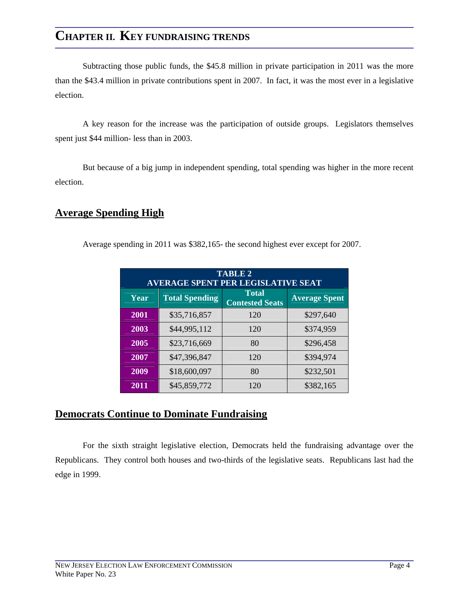Subtracting those public funds, the \$45.8 million in private participation in 2011 was the more than the \$43.4 million in private contributions spent in 2007. In fact, it was the most ever in a legislative election.

A key reason for the increase was the participation of outside groups. Legislators themselves spent just \$44 million- less than in 2003.

But because of a big jump in independent spending, total spending was higher in the more recent election.

#### **Average Spending High**

Average spending in 2011 was \$382,165- the second highest ever except for 2007.

| <b>TABLE 2</b><br><b>AVERAGE SPENT PER LEGISLATIVE SEAT</b> |                       |                                        |                      |  |  |  |  |  |  |
|-------------------------------------------------------------|-----------------------|----------------------------------------|----------------------|--|--|--|--|--|--|
| Year                                                        | <b>Total Spending</b> | <b>Total</b><br><b>Contested Seats</b> | <b>Average Spent</b> |  |  |  |  |  |  |
| 2001                                                        | \$35,716,857          | 120                                    | \$297,640            |  |  |  |  |  |  |
| 2003                                                        | \$44,995,112          | 120                                    | \$374,959            |  |  |  |  |  |  |
| 2005                                                        | \$23,716,669          | 80                                     | \$296,458            |  |  |  |  |  |  |
| 2007                                                        | \$47,396,847          | 120                                    | \$394,974            |  |  |  |  |  |  |
| 2009                                                        | \$18,600,097          | 80                                     | \$232,501            |  |  |  |  |  |  |
| 2011                                                        | \$45,859,772          | 120                                    | \$382,165            |  |  |  |  |  |  |

#### **Democrats Continue to Dominate Fundraising**

For the sixth straight legislative election, Democrats held the fundraising advantage over the Republicans. They control both houses and two-thirds of the legislative seats. Republicans last had the edge in 1999.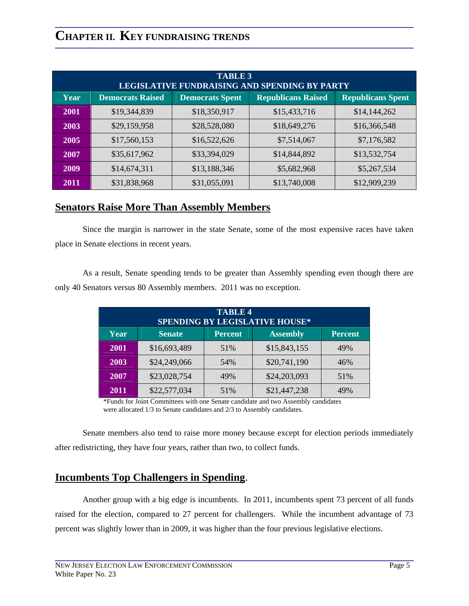| <b>TABLE 3</b><br>LEGISLATIVE FUNDRAISING AND SPENDING BY PARTY |                                                                                                            |              |              |              |  |  |  |  |  |  |
|-----------------------------------------------------------------|------------------------------------------------------------------------------------------------------------|--------------|--------------|--------------|--|--|--|--|--|--|
| Year                                                            | <b>Republicans Raised</b><br><b>Democrats Raised</b><br><b>Republicans Spent</b><br><b>Democrats Spent</b> |              |              |              |  |  |  |  |  |  |
| 2001                                                            | \$19,344,839                                                                                               | \$18,350,917 | \$15,433,716 | \$14,144,262 |  |  |  |  |  |  |
| 2003                                                            | \$29,159,958                                                                                               | \$28,528,080 | \$18,649,276 | \$16,366,548 |  |  |  |  |  |  |
| 2005                                                            | \$17,560,153                                                                                               | \$16,522,626 | \$7,514,067  | \$7,176,582  |  |  |  |  |  |  |
| 2007                                                            | \$35,617,962                                                                                               | \$33,394,029 | \$14,844,892 | \$13,532,754 |  |  |  |  |  |  |
| 2009                                                            | \$14,674,311                                                                                               | \$13,188,346 | \$5,682,968  | \$5,267,534  |  |  |  |  |  |  |
| 2011                                                            | \$31,838,968                                                                                               | \$31,055,091 | \$13,740,008 | \$12,909,239 |  |  |  |  |  |  |

#### **Senators Raise More Than Assembly Members**

Since the margin is narrower in the state Senate, some of the most expensive races have taken place in Senate elections in recent years.

As a result, Senate spending tends to be greater than Assembly spending even though there are only 40 Senators versus 80 Assembly members. 2011 was no exception.

| <b>TABLE 4</b><br><b>SPENDING BY LEGISLATIVE HOUSE*</b>                      |              |     |              |     |  |  |  |  |  |
|------------------------------------------------------------------------------|--------------|-----|--------------|-----|--|--|--|--|--|
| Year<br><b>Senate</b><br><b>Assembly</b><br><b>Percent</b><br><b>Percent</b> |              |     |              |     |  |  |  |  |  |
| 2001                                                                         | \$16,693,489 | 51% | \$15,843,155 | 49% |  |  |  |  |  |
| 2003                                                                         | \$24,249,066 | 54% | \$20,741,190 | 46% |  |  |  |  |  |
| 2007                                                                         | \$23,028,754 | 49% | \$24,203,093 | 51% |  |  |  |  |  |
| 2011                                                                         | \$22,577,034 | 51% | \$21,447,238 | 49% |  |  |  |  |  |

\*Funds for Joint Committees with one Senate candidate and two Assembly candidates were allocated 1/3 to Senate candidates and 2/3 to Assembly candidates.

Senate members also tend to raise more money because except for election periods immediately after redistricting, they have four years, rather than two, to collect funds.

### **Incumbents Top Challengers in Spending**.

Another group with a big edge is incumbents. In 2011, incumbents spent 73 percent of all funds raised for the election, compared to 27 percent for challengers. While the incumbent advantage of 73 percent was slightly lower than in 2009, it was higher than the four previous legislative elections.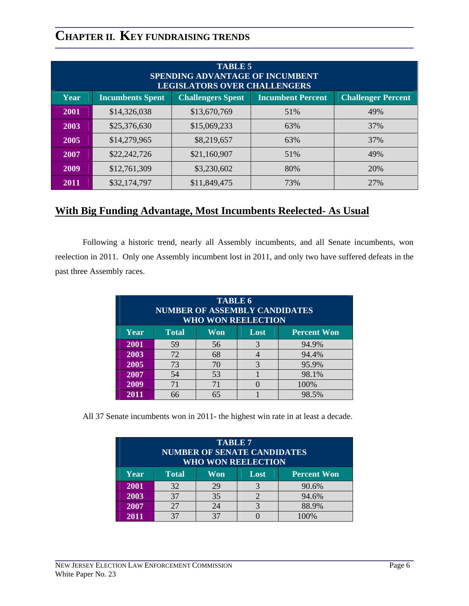| <b>TABLE 5</b><br><b>SPENDING ADVANTAGE OF INCUMBENT</b><br><b>LEGISLATORS OVER CHALLENGERS</b> |                                                                                                              |              |     |     |  |  |  |  |  |  |
|-------------------------------------------------------------------------------------------------|--------------------------------------------------------------------------------------------------------------|--------------|-----|-----|--|--|--|--|--|--|
| Year                                                                                            | <b>Incumbent Percent</b><br><b>Challenger Percent</b><br><b>Challengers Spent</b><br><b>Incumbents Spent</b> |              |     |     |  |  |  |  |  |  |
| 2001                                                                                            | \$14,326,038                                                                                                 | \$13,670,769 | 51% | 49% |  |  |  |  |  |  |
| 2003                                                                                            | \$25,376,630                                                                                                 | \$15,069,233 | 63% | 37% |  |  |  |  |  |  |
| 2005                                                                                            | \$14,279,965                                                                                                 | \$8,219,657  | 63% | 37% |  |  |  |  |  |  |
| 2007                                                                                            | \$22,242,726                                                                                                 | \$21,160,907 | 51% | 49% |  |  |  |  |  |  |
| 2009                                                                                            | \$12,761,309                                                                                                 | \$3,230,602  | 80% | 20% |  |  |  |  |  |  |
| 2011                                                                                            | \$32,174,797                                                                                                 | \$11,849,475 | 73% | 27% |  |  |  |  |  |  |

### **With Big Funding Advantage, Most Incumbents Reelected- As Usual**

Following a historic trend, nearly all Assembly incumbents, and all Senate incumbents, won reelection in 2011. Only one Assembly incumbent lost in 2011, and only two have suffered defeats in the past three Assembly races.

| <b>TABLE 6</b><br><b>NUMBER OF ASSEMBLY CANDIDATES</b><br><b>WHO WON REELECTION</b> |    |    |               |       |  |  |  |  |  |  |
|-------------------------------------------------------------------------------------|----|----|---------------|-------|--|--|--|--|--|--|
| Year<br><b>Total</b><br><b>Percent Won</b><br>Won<br>Lost                           |    |    |               |       |  |  |  |  |  |  |
| 2001                                                                                | 59 | 56 | $\mathcal{R}$ | 94.9% |  |  |  |  |  |  |
| 2003                                                                                | 72 | 68 |               | 94.4% |  |  |  |  |  |  |
| 2005                                                                                | 73 | 70 | $\mathcal{R}$ | 95.9% |  |  |  |  |  |  |
| 2007                                                                                | 54 | 53 |               | 98.1% |  |  |  |  |  |  |
| 2009                                                                                | 71 | 71 |               | 100%  |  |  |  |  |  |  |
| 2011                                                                                | 66 | 65 |               | 98.5% |  |  |  |  |  |  |

All 37 Senate incumbents won in 2011- the highest win rate in at least a decade.

| <b>TABLE 7</b><br><b>NUMBER OF SENATE CANDIDATES</b><br><b>WHO WON REELECTION</b> |                                                   |    |       |       |  |  |  |  |  |  |  |
|-----------------------------------------------------------------------------------|---------------------------------------------------|----|-------|-------|--|--|--|--|--|--|--|
| Year                                                                              | <b>Total</b><br><b>Percent Won</b><br>Won<br>Lost |    |       |       |  |  |  |  |  |  |  |
| 2001                                                                              | 32                                                | 29 |       | 90.6% |  |  |  |  |  |  |  |
| 2003                                                                              | 37                                                |    | 94.6% |       |  |  |  |  |  |  |  |
| 2007                                                                              | 27                                                | 24 |       | 88.9% |  |  |  |  |  |  |  |
| 2011                                                                              |                                                   | 37 |       | 00%   |  |  |  |  |  |  |  |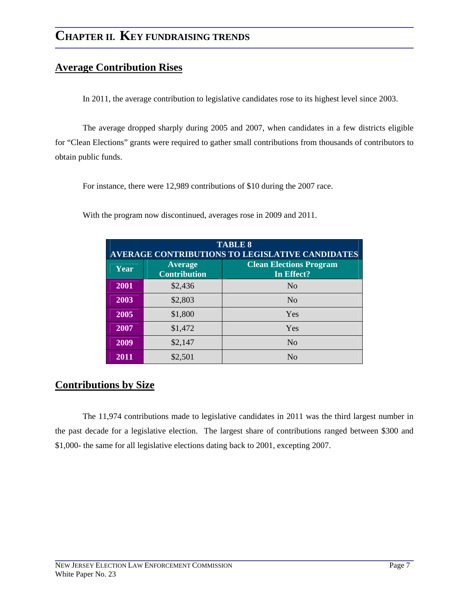#### **Average Contribution Rises**

In 2011, the average contribution to legislative candidates rose to its highest level since 2003.

The average dropped sharply during 2005 and 2007, when candidates in a few districts eligible for "Clean Elections" grants were required to gather small contributions from thousands of contributors to obtain public funds.

For instance, there were 12,989 contributions of \$10 during the 2007 race.

With the program now discontinued, averages rose in 2009 and 2011.

| <b>TABLE 8</b><br>AVERAGE CONTRIBUTIONS TO LEGISLATIVE CANDIDATES |                                       |                                              |  |  |  |  |  |  |  |
|-------------------------------------------------------------------|---------------------------------------|----------------------------------------------|--|--|--|--|--|--|--|
| Year                                                              | <b>Average</b><br><b>Contribution</b> | <b>Clean Elections Program</b><br>In Effect? |  |  |  |  |  |  |  |
| 2001                                                              | \$2,436                               | No                                           |  |  |  |  |  |  |  |
| 2003                                                              | \$2,803                               | No                                           |  |  |  |  |  |  |  |
| 2005                                                              | \$1,800                               | Yes                                          |  |  |  |  |  |  |  |
| 2007                                                              | \$1,472                               | Yes                                          |  |  |  |  |  |  |  |
| 2009                                                              | \$2,147                               | N <sub>o</sub>                               |  |  |  |  |  |  |  |
| 2011                                                              | \$2,501                               | No                                           |  |  |  |  |  |  |  |

### **Contributions by Size**

The 11,974 contributions made to legislative candidates in 2011 was the third largest number in the past decade for a legislative election. The largest share of contributions ranged between \$300 and \$1,000- the same for all legislative elections dating back to 2001, excepting 2007.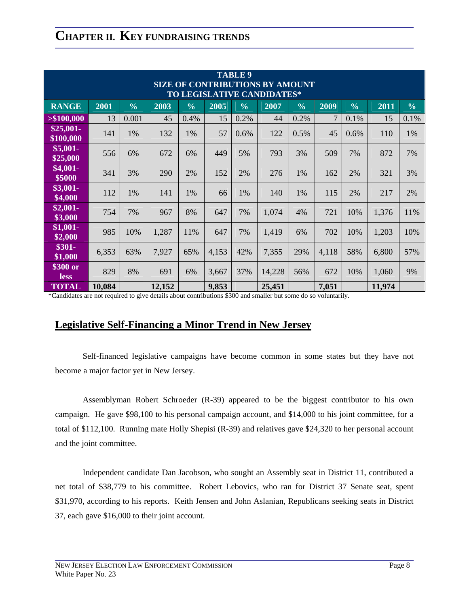| <b>TABLE 9</b><br><b>SIZE OF CONTRIBUTIONS BY AMOUNT</b><br>TO LEGISLATIVE CANDIDATES* |        |               |        |               |       |               |        |               |       |               |        |               |
|----------------------------------------------------------------------------------------|--------|---------------|--------|---------------|-------|---------------|--------|---------------|-------|---------------|--------|---------------|
| <b>RANGE</b>                                                                           | 2001   | $\frac{0}{0}$ | 2003   | $\frac{0}{0}$ | 2005  | $\frac{0}{0}$ | 2007   | $\frac{0}{0}$ | 2009  | $\frac{0}{0}$ | 2011   | $\frac{0}{0}$ |
| > \$100,000                                                                            | 13     | 0.001         | 45     | 0.4%          | 15    | 0.2%          | 44     | 0.2%          | 7     | 0.1%          | 15     | 0.1%          |
| $$25,001-$<br>\$100,000                                                                | 141    | 1%            | 132    | 1%            | 57    | 0.6%          | 122    | 0.5%          | 45    | 0.6%          | 110    | 1%            |
| $$5,001-$<br>\$25,000                                                                  | 556    | 6%            | 672    | 6%            | 449   | 5%            | 793    | 3%            | 509   | 7%            | 872    | 7%            |
| $$4,001-$<br>\$5000                                                                    | 341    | 3%            | 290    | 2%            | 152   | 2%            | 276    | 1%            | 162   | 2%            | 321    | 3%            |
| $$3,001-$<br>\$4,000                                                                   | 112    | 1%            | 141    | 1%            | 66    | 1%            | 140    | 1%            | 115   | 2%            | 217    | 2%            |
| $$2,001$ -<br>\$3,000                                                                  | 754    | 7%            | 967    | 8%            | 647   | 7%            | 1,074  | 4%            | 721   | 10%           | 1,376  | 11%           |
| $$1,001-$<br>\$2,000                                                                   | 985    | 10%           | 1,287  | 11%           | 647   | 7%            | 1,419  | 6%            | 702   | 10%           | 1,203  | 10%           |
| \$301-<br>\$1,000                                                                      | 6,353  | 63%           | 7,927  | 65%           | 4,153 | 42%           | 7,355  | 29%           | 4,118 | 58%           | 6,800  | 57%           |
| \$300 or<br><b>less</b>                                                                | 829    | 8%            | 691    | 6%            | 3,667 | 37%           | 14,228 | 56%           | 672   | 10%           | 1,060  | 9%            |
| <b>TOTAL</b>                                                                           | 10,084 |               | 12,152 |               | 9,853 |               | 25,451 |               | 7,051 |               | 11,974 |               |

\*Candidates are not required to give details about contributions \$300 and smaller but some do so voluntarily.

#### **Legislative Self-Financing a Minor Trend in New Jersey**

Self-financed legislative campaigns have become common in some states but they have not become a major factor yet in New Jersey.

Assemblyman Robert Schroeder (R-39) appeared to be the biggest contributor to his own campaign. He gave \$98,100 to his personal campaign account, and \$14,000 to his joint committee, for a total of \$112,100. Running mate Holly Shepisi (R-39) and relatives gave \$24,320 to her personal account and the joint committee.

Independent candidate Dan Jacobson, who sought an Assembly seat in District 11, contributed a net total of \$38,779 to his committee. Robert Lebovics, who ran for District 37 Senate seat, spent \$31,970, according to his reports. Keith Jensen and John Aslanian, Republicans seeking seats in District 37, each gave \$16,000 to their joint account.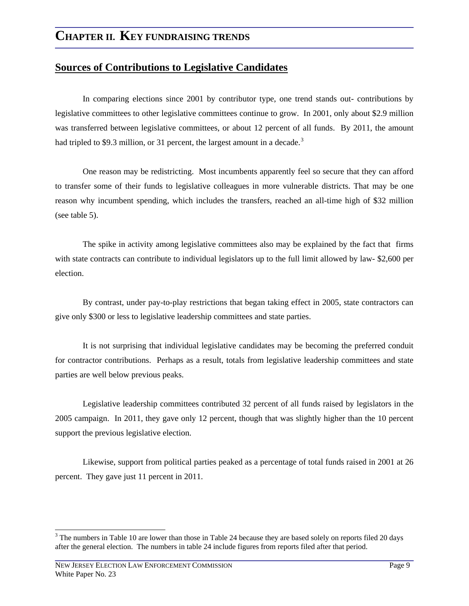#### **Sources of Contributions to Legislative Candidates**

In comparing elections since 2001 by contributor type, one trend stands out- contributions by legislative committees to other legislative committees continue to grow. In 2001, only about \$2.9 million was transferred between legislative committees, or about 12 percent of all funds. By 2011, the amount had tripled to \$9.[3](#page-13-0) million, or 31 percent, the largest amount in a decade.<sup>3</sup>

One reason may be redistricting. Most incumbents apparently feel so secure that they can afford to transfer some of their funds to legislative colleagues in more vulnerable districts. That may be one reason why incumbent spending, which includes the transfers, reached an all-time high of \$32 million (see table 5).

The spike in activity among legislative committees also may be explained by the fact that firms with state contracts can contribute to individual legislators up to the full limit allowed by law- \$2,600 per election.

By contrast, under pay-to-play restrictions that began taking effect in 2005, state contractors can give only \$300 or less to legislative leadership committees and state parties.

It is not surprising that individual legislative candidates may be becoming the preferred conduit for contractor contributions. Perhaps as a result, totals from legislative leadership committees and state parties are well below previous peaks.

Legislative leadership committees contributed 32 percent of all funds raised by legislators in the 2005 campaign. In 2011, they gave only 12 percent, though that was slightly higher than the 10 percent support the previous legislative election.

Likewise, support from political parties peaked as a percentage of total funds raised in 2001 at 26 percent. They gave just 11 percent in 2011.

<span id="page-13-0"></span> $3$  The numbers in Table 10 are lower than those in Table 24 because they are based solely on reports filed 20 days after the general election. The numbers in table 24 include figures from reports filed after that period.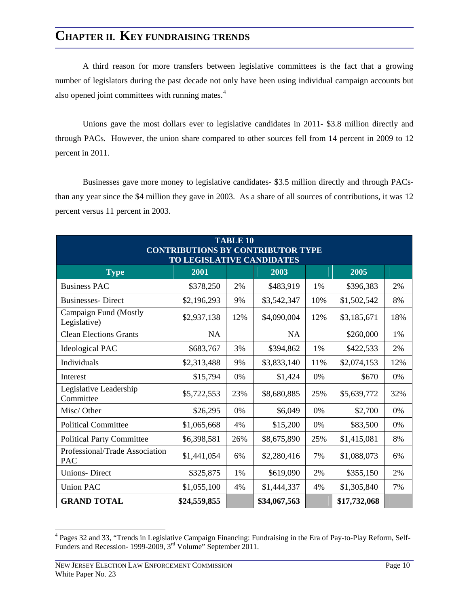A third reason for more transfers between legislative committees is the fact that a growing number of legislators during the past decade not only have been using individual campaign accounts but also opened joint committees with running mates.<sup>[4](#page-14-0)</sup>

Unions gave the most dollars ever to legislative candidates in 2011- \$3.8 million directly and through PACs. However, the union share compared to other sources fell from 14 percent in 2009 to 12 percent in 2011.

Businesses gave more money to legislative candidates- \$3.5 million directly and through PACsthan any year since the \$4 million they gave in 2003. As a share of all sources of contributions, it was 12 percent versus 11 percent in 2003.

| <b>TABLE 10</b><br><b>CONTRIBUTIONS BY CONTRIBUTOR TYPE</b><br>TO LEGISLATIVE CANDIDATES |              |     |              |     |              |     |  |  |
|------------------------------------------------------------------------------------------|--------------|-----|--------------|-----|--------------|-----|--|--|
| 2001<br>2005<br>2003<br><b>Type</b>                                                      |              |     |              |     |              |     |  |  |
| <b>Business PAC</b>                                                                      | \$378,250    | 2%  | \$483,919    | 1%  | \$396,383    | 2%  |  |  |
| <b>Businesses-Direct</b>                                                                 | \$2,196,293  | 9%  | \$3,542,347  | 10% | \$1,502,542  | 8%  |  |  |
| Campaign Fund (Mostly<br>Legislative)                                                    | \$2,937,138  | 12% | \$4,090,004  | 12% | \$3,185,671  | 18% |  |  |
| <b>Clean Elections Grants</b>                                                            | NA           |     | <b>NA</b>    |     | \$260,000    | 1%  |  |  |
| <b>Ideological PAC</b>                                                                   | \$683,767    | 3%  | \$394,862    | 1%  | \$422,533    | 2%  |  |  |
| Individuals                                                                              | \$2,313,488  | 9%  | \$3,833,140  | 11% | \$2,074,153  | 12% |  |  |
| Interest                                                                                 | \$15,794     | 0%  | \$1,424      | 0%  | \$670        | 0%  |  |  |
| Legislative Leadership<br>Committee                                                      | \$5,722,553  | 23% | \$8,680,885  | 25% | \$5,639,772  | 32% |  |  |
| Misc/Other                                                                               | \$26,295     | 0%  | \$6,049      | 0%  | \$2,700      | 0%  |  |  |
| <b>Political Committee</b>                                                               | \$1,065,668  | 4%  | \$15,200     | 0%  | \$83,500     | 0%  |  |  |
| <b>Political Party Committee</b>                                                         | \$6,398,581  | 26% | \$8,675,890  | 25% | \$1,415,081  | 8%  |  |  |
| Professional/Trade Association<br>PAC                                                    | \$1,441,054  | 6%  | \$2,280,416  | 7%  | \$1,088,073  | 6%  |  |  |
| <b>Unions-Direct</b>                                                                     | \$325,875    | 1%  | \$619,090    | 2%  | \$355,150    | 2%  |  |  |
| <b>Union PAC</b>                                                                         | \$1,055,100  | 4%  | \$1,444,337  | 4%  | \$1,305,840  | 7%  |  |  |
| <b>GRAND TOTAL</b>                                                                       | \$24,559,855 |     | \$34,067,563 |     | \$17,732,068 |     |  |  |

<span id="page-14-0"></span><sup>&</sup>lt;sup>4</sup> Pages 32 and 33, "Trends in Legislative Campaign Financing: Fundraising in the Era of Pay-to-Play Reform, Self-Funders and Recession- 1999-2009, 3<sup>rd</sup> Volume" September 2011.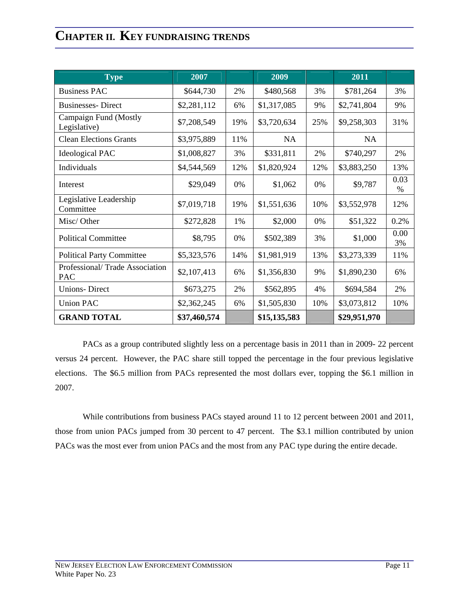| <b>Type</b>                           | 2007         |     | 2009         |       | 2011         |            |
|---------------------------------------|--------------|-----|--------------|-------|--------------|------------|
| <b>Business PAC</b>                   | \$644,730    | 2%  | \$480,568    | 3%    | \$781,264    | 3%         |
| <b>Businesses-Direct</b>              | \$2,281,112  | 6%  | \$1,317,085  | 9%    | \$2,741,804  | 9%         |
| Campaign Fund (Mostly<br>Legislative) | \$7,208,549  | 19% | \$3,720,634  | 25%   | \$9,258,303  | 31%        |
| <b>Clean Elections Grants</b>         | \$3,975,889  | 11% | NA           |       | <b>NA</b>    |            |
| <b>Ideological PAC</b>                | \$1,008,827  | 3%  | \$331,811    | 2%    | \$740,297    | 2%         |
| Individuals                           | \$4,544,569  | 12% | \$1,820,924  | 12%   | \$3,883,250  | 13%        |
| Interest                              | \$29,049     | 0%  | \$1,062      | 0%    | \$9,787      | 0.03<br>%  |
| Legislative Leadership<br>Committee   | \$7,019,718  | 19% | \$1,551,636  | 10%   | \$3,552,978  | 12%        |
| Misc/Other                            | \$272,828    | 1%  | \$2,000      | $0\%$ | \$51,322     | 0.2%       |
| <b>Political Committee</b>            | \$8,795      | 0%  | \$502,389    | 3%    | \$1,000      | 0.00<br>3% |
| <b>Political Party Committee</b>      | \$5,323,576  | 14% | \$1,981,919  | 13%   | \$3,273,339  | 11%        |
| Professional/Trade Association<br>PAC | \$2,107,413  | 6%  | \$1,356,830  | 9%    | \$1,890,230  | 6%         |
| <b>Unions-Direct</b>                  | \$673,275    | 2%  | \$562,895    | 4%    | \$694,584    | 2%         |
| <b>Union PAC</b>                      | \$2,362,245  | 6%  | \$1,505,830  | 10%   | \$3,073,812  | 10%        |
| <b>GRAND TOTAL</b>                    | \$37,460,574 |     | \$15,135,583 |       | \$29,951,970 |            |

 PACs as a group contributed slightly less on a percentage basis in 2011 than in 2009- 22 percent versus 24 percent. However, the PAC share still topped the percentage in the four previous legislative elections. The \$6.5 million from PACs represented the most dollars ever, topping the \$6.1 million in 2007.

 While contributions from business PACs stayed around 11 to 12 percent between 2001 and 2011, those from union PACs jumped from 30 percent to 47 percent. The \$3.1 million contributed by union PACs was the most ever from union PACs and the most from any PAC type during the entire decade.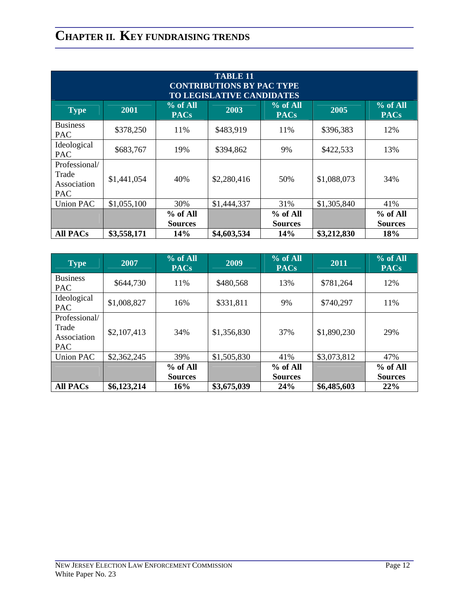| <b>TABLE 11</b><br><b>CONTRIBUTIONS BY PAC TYPE</b><br><b>TO LEGISLATIVE CANDIDATES</b> |             |                            |             |                              |             |                              |  |
|-----------------------------------------------------------------------------------------|-------------|----------------------------|-------------|------------------------------|-------------|------------------------------|--|
| <b>Type</b>                                                                             | <b>2001</b> | $%$ of All<br><b>PACs</b>  | 2003        | % of All<br><b>PACs</b>      | 2005        | % of All<br><b>PACs</b>      |  |
| <b>Business</b><br>PAC                                                                  | \$378,250   | 11%                        | \$483,919   | 11%                          | \$396,383   | 12%                          |  |
| Ideological<br><b>PAC</b>                                                               | \$683,767   | 19%                        | \$394,862   | 9%                           | \$422,533   | 13%                          |  |
| Professional/<br>Trade<br>Association<br>PAC                                            | \$1,441,054 | 40%                        | \$2,280,416 | 50%                          | \$1,088,073 | 34%                          |  |
| Union PAC                                                                               | \$1,055,100 | 30%                        | \$1,444,337 | 31%                          | \$1,305,840 | 41%                          |  |
|                                                                                         |             | % of All<br><b>Sources</b> |             | $%$ of All<br><b>Sources</b> |             | $%$ of All<br><b>Sources</b> |  |
| <b>All PACs</b>                                                                         | \$3,558,171 | 14%                        | \$4,603,534 | 14%                          | \$3,212,830 | 18%                          |  |

| <b>Type</b>                                         | 2007        | % of All<br><b>PACs</b>    | 2009        | % of All<br><b>PACs</b>      | 2011        | % of All<br><b>PACs</b>    |
|-----------------------------------------------------|-------------|----------------------------|-------------|------------------------------|-------------|----------------------------|
| <b>Business</b><br><b>PAC</b>                       | \$644,730   | 11%                        | \$480,568   | 13%                          | \$781,264   | 12%                        |
| Ideological<br><b>PAC</b>                           | \$1,008,827 | 16%                        | \$331,811   | 9%                           | \$740,297   | 11%                        |
| Professional/<br>Trade<br>Association<br><b>PAC</b> | \$2,107,413 | 34%                        | \$1,356,830 | 37%                          | \$1,890,230 | 29%                        |
| <b>Union PAC</b>                                    | \$2,362,245 | 39%                        | \$1,505,830 | 41%                          | \$3,073,812 | 47%                        |
|                                                     |             | % of All<br><b>Sources</b> |             | $%$ of All<br><b>Sources</b> |             | % of All<br><b>Sources</b> |
| <b>All PACs</b>                                     | \$6,123,214 | 16%                        | \$3,675,039 | 24%                          | \$6,485,603 | 22%                        |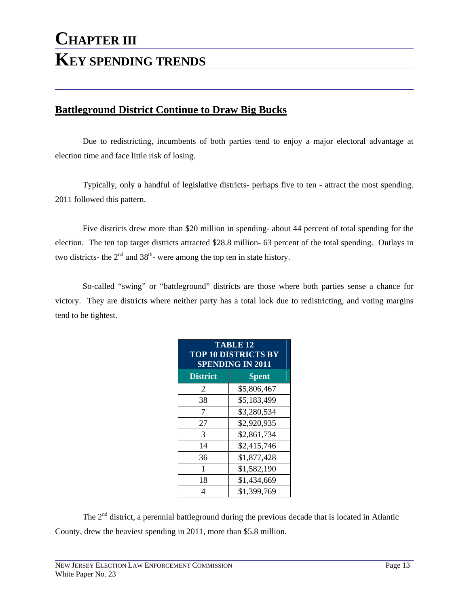#### **Battleground District Continue to Draw Big Bucks**

Due to redistricting, incumbents of both parties tend to enjoy a major electoral advantage at election time and face little risk of losing.

Typically, only a handful of legislative districts- perhaps five to ten - attract the most spending. 2011 followed this pattern.

Five districts drew more than \$20 million in spending- about 44 percent of total spending for the election. The ten top target districts attracted \$28.8 million- 63 percent of the total spending. Outlays in two districts- the  $2<sup>nd</sup>$  and  $38<sup>th</sup>$ - were among the top ten in state history.

So-called "swing" or "battleground" districts are those where both parties sense a chance for victory. They are districts where neither party has a total lock due to redistricting, and voting margins tend to be tightest.

| <b>TABLE 12</b><br><b>TOP 10 DISTRICTS BY</b><br><b>SPENDING IN 2011</b> |              |  |  |  |  |
|--------------------------------------------------------------------------|--------------|--|--|--|--|
| <b>District</b>                                                          | <b>Spent</b> |  |  |  |  |
| 2                                                                        | \$5,806,467  |  |  |  |  |
| 38                                                                       | \$5,183,499  |  |  |  |  |
| 7                                                                        | \$3,280,534  |  |  |  |  |
| 27                                                                       | \$2,920,935  |  |  |  |  |
| 3                                                                        | \$2,861,734  |  |  |  |  |
| 14                                                                       | \$2,415,746  |  |  |  |  |
| 36                                                                       | \$1,877,428  |  |  |  |  |
| 1                                                                        | \$1,582,190  |  |  |  |  |
| 18                                                                       | \$1,434,669  |  |  |  |  |
| 4                                                                        | \$1,399,769  |  |  |  |  |

The  $2<sup>nd</sup>$  district, a perennial battleground during the previous decade that is located in Atlantic County, drew the heaviest spending in 2011, more than \$5.8 million.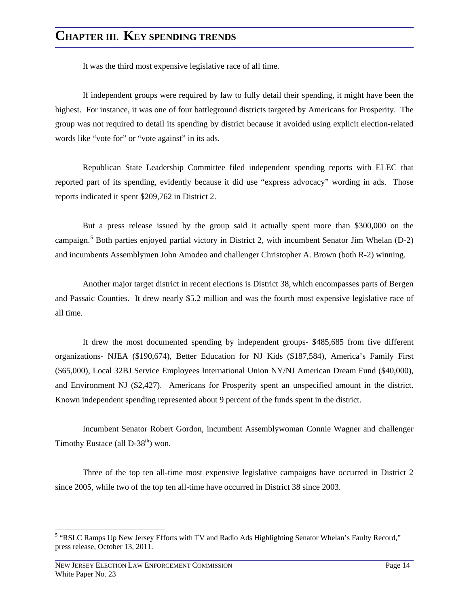It was the third most expensive legislative race of all time.

If independent groups were required by law to fully detail their spending, it might have been the highest. For instance, it was one of four battleground districts targeted by Americans for Prosperity. The group was not required to detail its spending by district because it avoided using explicit election-related words like "vote for" or "vote against" in its ads.

Republican State Leadership Committee filed independent spending reports with ELEC that reported part of its spending, evidently because it did use "express advocacy" wording in ads. Those reports indicated it spent \$209,762 in District 2.

But a press release issued by the group said it actually spent more than \$300,000 on the campaign.<sup>[5](#page-18-0)</sup> Both parties enjoyed partial victory in District 2, with incumbent Senator Jim Whelan (D-2) and incumbents Assemblymen John Amodeo and challenger Christopher A. Brown (both R-2) winning.

Another major target district in recent elections is District 38, which encompasses parts of Bergen and Passaic Counties. It drew nearly \$5.2 million and was the fourth most expensive legislative race of all time.

It drew the most documented spending by independent groups- \$485,685 from five different organizations- NJEA (\$190,674), Better Education for NJ Kids (\$187,584), America's Family First (\$65,000), Local 32BJ Service Employees International Union NY/NJ American Dream Fund (\$40,000), and Environment NJ (\$2,427). Americans for Prosperity spent an unspecified amount in the district. Known independent spending represented about 9 percent of the funds spent in the district.

Incumbent Senator Robert Gordon, incumbent Assemblywoman Connie Wagner and challenger Timothy Eustace (all  $D-38<sup>th</sup>$ ) won.

Three of the top ten all-time most expensive legislative campaigns have occurred in District 2 since 2005, while two of the top ten all-time have occurred in District 38 since 2003.

<span id="page-18-0"></span><sup>&</sup>lt;sup>5</sup> "RSLC Ramps Up New Jersey Efforts with TV and Radio Ads Highlighting Senator Whelan's Faulty Record," press release, October 13, 2011.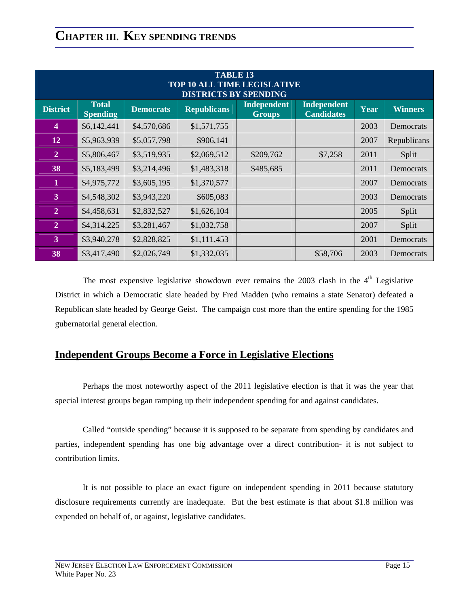| <b>TABLE 13</b><br><b>TOP 10 ALL TIME LEGISLATIVE</b><br><b>DISTRICTS BY SPENDING</b> |                                 |                  |                    |                                     |                                         |      |                |  |  |
|---------------------------------------------------------------------------------------|---------------------------------|------------------|--------------------|-------------------------------------|-----------------------------------------|------|----------------|--|--|
| <b>District</b>                                                                       | <b>Total</b><br><b>Spending</b> | <b>Democrats</b> | <b>Republicans</b> | <b>Independent</b><br><b>Groups</b> | <b>Independent</b><br><b>Candidates</b> | Year | <b>Winners</b> |  |  |
| $\overline{\mathbf{4}}$                                                               | \$6,142,441                     | \$4,570,686      | \$1,571,755        |                                     |                                         | 2003 | Democrats      |  |  |
| 12                                                                                    | \$5,963,939                     | \$5,057,798      | \$906,141          |                                     |                                         | 2007 | Republicans    |  |  |
| $\overline{2}$                                                                        | \$5,806,467                     | \$3,519,935      | \$2,069,512        | \$209,762                           | \$7,258                                 | 2011 | Split          |  |  |
| 38                                                                                    | \$5,183,499                     | \$3,214,496      | \$1,483,318        | \$485,685                           |                                         | 2011 | Democrats      |  |  |
| $\mathbf{1}$                                                                          | \$4,975,772                     | \$3,605,195      | \$1,370,577        |                                     |                                         | 2007 | Democrats      |  |  |
| $\overline{3}$                                                                        | \$4,548,302                     | \$3,943,220      | \$605,083          |                                     |                                         | 2003 | Democrats      |  |  |
| $\overline{2}$                                                                        | \$4,458,631                     | \$2,832,527      | \$1,626,104        |                                     |                                         | 2005 | Split          |  |  |
| $\overline{2}$                                                                        | \$4,314,225                     | \$3,281,467      | \$1,032,758        |                                     |                                         | 2007 | Split          |  |  |
| $\overline{3}$                                                                        | \$3,940,278                     | \$2,828,825      | \$1,111,453        |                                     |                                         | 2001 | Democrats      |  |  |
| 38                                                                                    | \$3,417,490                     | \$2,026,749      | \$1,332,035        |                                     | \$58,706                                | 2003 | Democrats      |  |  |

The most expensive legislative showdown ever remains the  $2003$  clash in the  $4<sup>th</sup>$  Legislative District in which a Democratic slate headed by Fred Madden (who remains a state Senator) defeated a Republican slate headed by George Geist. The campaign cost more than the entire spending for the 1985 gubernatorial general election.

#### **Independent Groups Become a Force in Legislative Elections**

Perhaps the most noteworthy aspect of the 2011 legislative election is that it was the year that special interest groups began ramping up their independent spending for and against candidates.

Called "outside spending" because it is supposed to be separate from spending by candidates and parties, independent spending has one big advantage over a direct contribution- it is not subject to contribution limits.

It is not possible to place an exact figure on independent spending in 2011 because statutory disclosure requirements currently are inadequate. But the best estimate is that about \$1.8 million was expended on behalf of, or against, legislative candidates.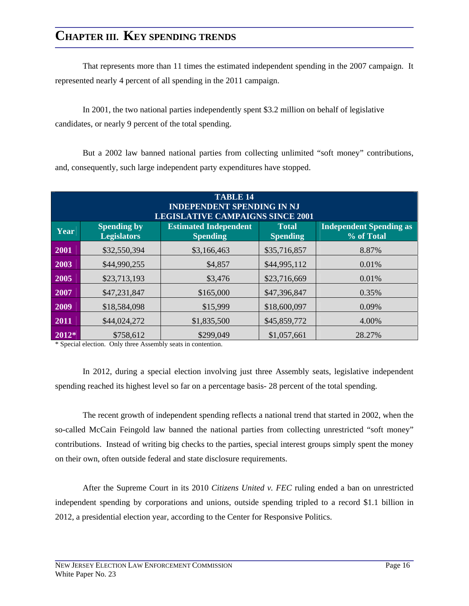That represents more than 11 times the estimated independent spending in the 2007 campaign. It represented nearly 4 percent of all spending in the 2011 campaign.

 In 2001, the two national parties independently spent \$3.2 million on behalf of legislative candidates, or nearly 9 percent of the total spending.

But a 2002 law banned national parties from collecting unlimited "soft money" contributions, and, consequently, such large independent party expenditures have stopped.

| <b>TABLE 14</b><br><b>INDEPENDENT SPENDING IN NJ</b><br><b>LEGISLATIVE CAMPAIGNS SINCE 2001</b> |                                          |                                                 |                                 |                                              |  |  |  |
|-------------------------------------------------------------------------------------------------|------------------------------------------|-------------------------------------------------|---------------------------------|----------------------------------------------|--|--|--|
| Year                                                                                            | <b>Spending by</b><br><b>Legislators</b> | <b>Estimated Independent</b><br><b>Spending</b> | <b>Total</b><br><b>Spending</b> | <b>Independent Spending as</b><br>% of Total |  |  |  |
| 2001                                                                                            | \$32,550,394                             | \$3,166,463                                     | \$35,716,857                    | 8.87%                                        |  |  |  |
| 2003                                                                                            | \$44,990,255                             | \$4,857                                         | \$44,995,112                    | 0.01%                                        |  |  |  |
| 2005                                                                                            | \$23,713,193                             | \$3,476                                         | \$23,716,669                    | 0.01%                                        |  |  |  |
| 2007                                                                                            | \$47,231,847                             | \$165,000                                       | \$47,396,847                    | 0.35%                                        |  |  |  |
| 2009                                                                                            | \$18,584,098                             | \$15,999                                        | \$18,600,097                    | 0.09%                                        |  |  |  |
| 2011                                                                                            | \$44,024,272                             | \$1,835,500                                     | \$45,859,772                    | 4.00%                                        |  |  |  |
| $2012*$                                                                                         | \$758,612                                | \$299,049                                       | \$1,057,661                     | 28.27%                                       |  |  |  |

\* Special election. Only three Assembly seats in contention.

In 2012, during a special election involving just three Assembly seats, legislative independent spending reached its highest level so far on a percentage basis- 28 percent of the total spending.

The recent growth of independent spending reflects a national trend that started in 2002, when the so-called McCain Feingold law banned the national parties from collecting unrestricted "soft money" contributions. Instead of writing big checks to the parties, special interest groups simply spent the money on their own, often outside federal and state disclosure requirements.

After the Supreme Court in its 2010 *Citizens United v. FEC* ruling ended a ban on unrestricted independent spending by corporations and unions, outside spending tripled to a record \$1.1 billion in 2012, a presidential election year, according to the Center for Responsive Politics.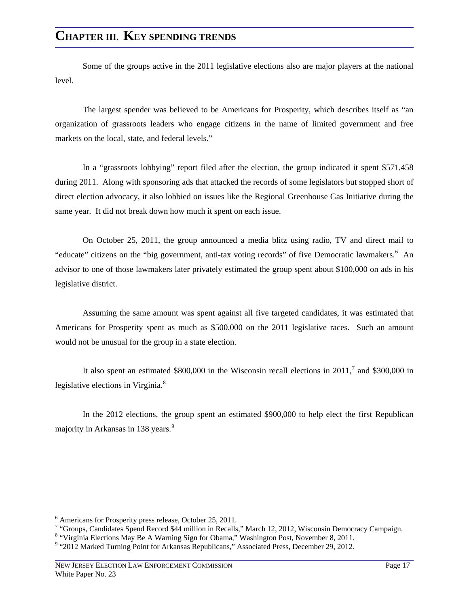Some of the groups active in the 2011 legislative elections also are major players at the national level.

The largest spender was believed to be Americans for Prosperity, which describes itself as "an organization of grassroots leaders who engage citizens in the name of limited government and free markets on the local, state, and federal levels."

In a "grassroots lobbying" report filed after the election, the group indicated it spent \$571,458 during 2011. Along with sponsoring ads that attacked the records of some legislators but stopped short of direct election advocacy, it also lobbied on issues like the Regional Greenhouse Gas Initiative during the same year. It did not break down how much it spent on each issue.

On October 25, 2011, the group announced a media blitz using radio, TV and direct mail to "educate" citizens on the "big government, anti-tax voting records" of five Democratic lawmakers.<sup>[6](#page-21-0)</sup> An advisor to one of those lawmakers later privately estimated the group spent about \$100,000 on ads in his legislative district.

Assuming the same amount was spent against all five targeted candidates, it was estimated that Americans for Prosperity spent as much as \$500,000 on the 2011 legislative races. Such an amount would not be unusual for the group in a state election.

It also spent an estimated \$800,000 in the Wisconsin recall elections in  $2011<sup>7</sup>$  $2011<sup>7</sup>$  $2011<sup>7</sup>$  and \$300,000 in legislative elections in Virginia.<sup>[8](#page-21-2)</sup>

In the 2012 elections, the group spent an estimated \$900,000 to help elect the first Republican majority in Arkansas in 138 years.<sup>[9](#page-21-3)</sup>

<span id="page-21-0"></span> $<sup>6</sup>$  Americans for Prosperity press release, October 25, 2011.</sup> <sup>6</sup> Americans for Prosperity press release, October 25, 2011.<br><sup>7</sup> "Groups, Condidates Spand Bosord \$44 million in Bosolle

<sup>&</sup>quot; "Groups, Candidates Spend Record \$44 million in Recalls," March 12, 2012, Wisconsin Democracy Campaign.  $8 \frac{\text{W}}{\text{W}}$ 

<span id="page-21-2"></span><span id="page-21-1"></span><sup>&</sup>lt;sup>8</sup> "Virginia Elections May Be A Warning Sign for Obama," Washington Post, November 8, 2011.

<span id="page-21-3"></span><sup>&</sup>lt;sup>9</sup> "2012 Marked Turning Point for Arkansas Republicans," Associated Press, December 29, 2012.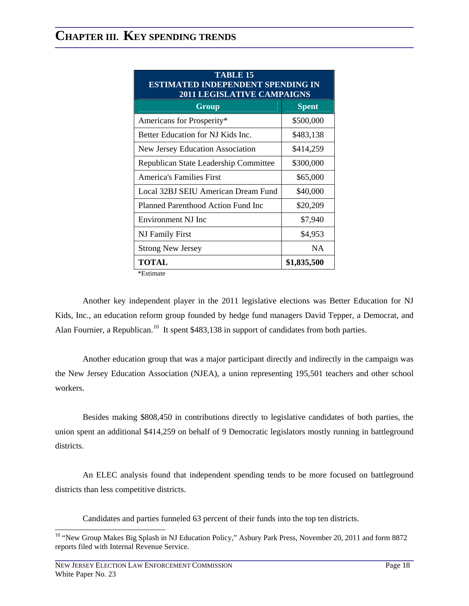| <b>TABLE 15</b><br>ESTIMATED INDEPENDENT SPENDING IN<br><b>2011 LEGISLATIVE CAMPAIGNS</b> |              |  |  |  |  |  |
|-------------------------------------------------------------------------------------------|--------------|--|--|--|--|--|
| Group                                                                                     | <b>Spent</b> |  |  |  |  |  |
| Americans for Prosperity*                                                                 | \$500,000    |  |  |  |  |  |
| Better Education for NJ Kids Inc.                                                         | \$483,138    |  |  |  |  |  |
| <b>New Jersey Education Association</b>                                                   | \$414,259    |  |  |  |  |  |
| Republican State Leadership Committee                                                     | \$300,000    |  |  |  |  |  |
| <b>America's Families First</b>                                                           | \$65,000     |  |  |  |  |  |
| Local 32BJ SEIU American Dream Fund                                                       | \$40,000     |  |  |  |  |  |
| Planned Parenthood Action Fund Inc                                                        | \$20,209     |  |  |  |  |  |
| Environment NJ Inc                                                                        | \$7,940      |  |  |  |  |  |
| NJ Family First                                                                           | \$4,953      |  |  |  |  |  |
| <b>Strong New Jersey</b>                                                                  | <b>NA</b>    |  |  |  |  |  |
| <b>TOTAL</b>                                                                              | \$1,835,500  |  |  |  |  |  |

\*Estimate

Another key independent player in the 2011 legislative elections was Better Education for NJ Kids, Inc., an education reform group founded by hedge fund managers David Tepper, a Democrat, and Alan Fournier, a Republican.<sup>10</sup> It spent \$483,138 in support of candidates from both parties.

Another education group that was a major participant directly and indirectly in the campaign was the New Jersey Education Association (NJEA), a union representing 195,501 teachers and other school workers.

Besides making \$808,450 in contributions directly to legislative candidates of both parties, the union spent an additional \$414,259 on behalf of 9 Democratic legislators mostly running in battleground districts.

An ELEC analysis found that independent spending tends to be more focused on battleground districts than less competitive districts.

Candidates and parties funneled 63 percent of their funds into the top ten districts.

<span id="page-22-0"></span><sup>&</sup>lt;sup>10</sup> "New Group Makes Big Splash in NJ Education Policy," Asbury Park Press, November 20, 2011 and form 8872 reports filed with Internal Revenue Service.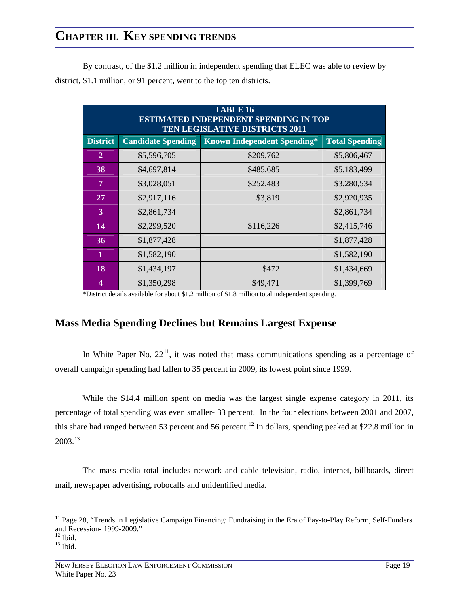By contrast, of the \$1.2 million in independent spending that ELEC was able to review by district, \$1.1 million, or 91 percent, went to the top ten districts.

| <b>TABLE 16</b><br><b>ESTIMATED INDEPENDENT SPENDING IN TOP</b><br><b>TEN LEGISLATIVE DISTRICTS 2011</b> |                           |                                    |                       |  |  |  |  |
|----------------------------------------------------------------------------------------------------------|---------------------------|------------------------------------|-----------------------|--|--|--|--|
| <b>District</b>                                                                                          | <b>Candidate Spending</b> | <b>Known Independent Spending*</b> | <b>Total Spending</b> |  |  |  |  |
| $\mathbf{2}$                                                                                             | \$5,596,705               | \$209,762                          | \$5,806,467           |  |  |  |  |
| 38                                                                                                       | \$4,697,814               | \$485,685                          | \$5,183,499           |  |  |  |  |
| 7                                                                                                        | \$3,028,051               | \$252,483                          | \$3,280,534           |  |  |  |  |
| 27                                                                                                       | \$2,917,116               | \$3,819                            | \$2,920,935           |  |  |  |  |
| $\overline{3}$                                                                                           | \$2,861,734               |                                    | \$2,861,734           |  |  |  |  |
| 14                                                                                                       | \$2,299,520               | \$116,226                          | \$2,415,746           |  |  |  |  |
| 36                                                                                                       | \$1,877,428               |                                    | \$1,877,428           |  |  |  |  |
| 1                                                                                                        | \$1,582,190               |                                    | \$1,582,190           |  |  |  |  |
| 18                                                                                                       | \$1,434,197               | \$472                              | \$1,434,669           |  |  |  |  |
| 4                                                                                                        | \$1,350,298               | \$49,471                           | \$1,399,769           |  |  |  |  |

\*District details available for about \$1.2 million of \$1.8 million total independent spending.

#### **Mass Media Spending Declines but Remains Largest Expense**

In White Paper No.  $22<sup>11</sup>$ , it was noted that mass communications spending as a percentage of overall campaign spending had fallen to 35 percent in 2009, its lowest point since 1999.

While the \$14.4 million spent on media was the largest single expense category in 2011, its percentage of total spending was even smaller- 33 percent. In the four elections between 2001 and 2007, this share had ranged between 53 percent and 56 percent.<sup>12</sup> In dollars, spending peaked at \$22.8 million in  $2003.<sup>13</sup>$  $2003.<sup>13</sup>$  $2003.<sup>13</sup>$ 

The mass media total includes network and cable television, radio, internet, billboards, direct mail, newspaper advertising, robocalls and unidentified media.

<span id="page-23-0"></span> $11$  Page 28, "Trends in Legislative Campaign Financing: Fundraising in the Era of Pay-to-Play Reform, Self-Funders and Recession- 1999-2009."

<span id="page-23-1"></span> $12$  Ibid.

<span id="page-23-2"></span> $13$  Ibid.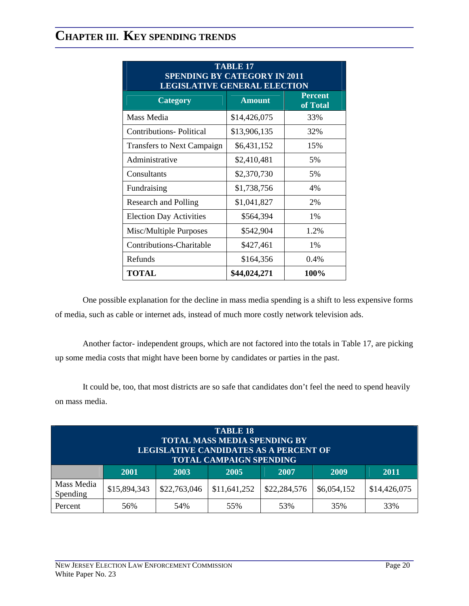| <b>TABLE 17</b><br><b>SPENDING BY CATEGORY IN 2011</b><br><b>LEGISLATIVE GENERAL ELECTION</b> |               |                     |  |  |  |  |
|-----------------------------------------------------------------------------------------------|---------------|---------------------|--|--|--|--|
| <b>Category</b>                                                                               | <b>Amount</b> | Percent<br>of Total |  |  |  |  |
| Mass Media                                                                                    | \$14,426,075  | 33%                 |  |  |  |  |
| <b>Contributions-Political</b>                                                                | \$13,906,135  | 32%                 |  |  |  |  |
| <b>Transfers to Next Campaign</b>                                                             | \$6,431,152   | 15%                 |  |  |  |  |
| Administrative                                                                                | \$2,410,481   | 5%                  |  |  |  |  |
| Consultants                                                                                   | \$2,370,730   | 5%                  |  |  |  |  |
| Fundraising                                                                                   | \$1,738,756   | 4%                  |  |  |  |  |
| <b>Research and Polling</b>                                                                   | \$1,041,827   | 2%                  |  |  |  |  |
| <b>Election Day Activities</b>                                                                | \$564,394     | $1\%$               |  |  |  |  |
| Misc/Multiple Purposes                                                                        | \$542,904     | 1.2%                |  |  |  |  |
| Contributions-Charitable                                                                      | \$427,461     | $1\%$               |  |  |  |  |
| Refunds                                                                                       | \$164,356     | 0.4%                |  |  |  |  |
| <b>TOTAL</b>                                                                                  | \$44,024,271  | 100%                |  |  |  |  |

One possible explanation for the decline in mass media spending is a shift to less expensive forms of media, such as cable or internet ads, instead of much more costly network television ads.

Another factor- independent groups, which are not factored into the totals in Table 17, are picking up some media costs that might have been borne by candidates or parties in the past.

It could be, too, that most districts are so safe that candidates don't feel the need to spend heavily on mass media.

| <b>TABLE 18</b><br><b>TOTAL MASS MEDIA SPENDING BY</b><br><b>LEGISLATIVE CANDIDATES AS A PERCENT OF</b><br><b>TOTAL CAMPAIGN SPENDING</b> |              |              |              |              |             |              |  |
|-------------------------------------------------------------------------------------------------------------------------------------------|--------------|--------------|--------------|--------------|-------------|--------------|--|
|                                                                                                                                           | <b>2001</b>  | 2003         | 2005         | 2007         | 2009        | 2011         |  |
| Mass Media<br>Spending                                                                                                                    | \$15,894,343 | \$22,763,046 | \$11,641,252 | \$22,284,576 | \$6,054,152 | \$14,426,075 |  |
| Percent                                                                                                                                   | 56%          | 54%          | 55%          | 53%          | 35%         | 33%          |  |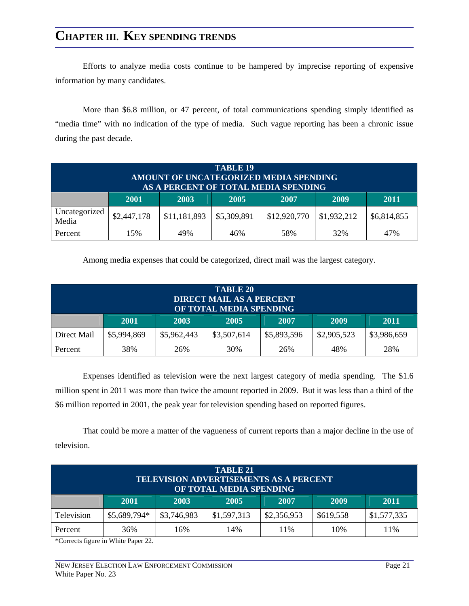Efforts to analyze media costs continue to be hampered by imprecise reporting of expensive information by many candidates.

More than \$6.8 million, or 47 percent, of total communications spending simply identified as "media time" with no indication of the type of media. Such vague reporting has been a chronic issue during the past decade.

| <b>TABLE 19</b><br>AMOUNT OF UNCATEGORIZED MEDIA SPENDING<br>AS A PERCENT OF TOTAL MEDIA SPENDING |             |              |             |              |             |             |
|---------------------------------------------------------------------------------------------------|-------------|--------------|-------------|--------------|-------------|-------------|
|                                                                                                   | 2001        | 2003         | 2005        | 2007         | 2009        | 2011        |
| Uncategorized<br>Media                                                                            | \$2,447,178 | \$11,181,893 | \$5,309,891 | \$12,920,770 | \$1,932,212 | \$6,814,855 |
| Percent                                                                                           | 15%         | 49%          | 46%         | 58%          | 32%         | 47%         |

Among media expenses that could be categorized, direct mail was the largest category.

| <b>TABLE 20</b><br><b>DIRECT MAIL AS A PERCENT</b><br>OF TOTAL MEDIA SPENDING |                                                                                        |     |     |     |     |     |  |  |
|-------------------------------------------------------------------------------|----------------------------------------------------------------------------------------|-----|-----|-----|-----|-----|--|--|
|                                                                               | 2009<br><b>2001</b><br>2003<br>2011<br>2005<br>2007                                    |     |     |     |     |     |  |  |
| Direct Mail                                                                   | \$5,962,443<br>\$5,994,869<br>\$3,507,614<br>\$5,893,596<br>\$2,905,523<br>\$3,986,659 |     |     |     |     |     |  |  |
| Percent                                                                       | 38%                                                                                    | 26% | 30% | 26% | 48% | 28% |  |  |

Expenses identified as television were the next largest category of media spending. The \$1.6 million spent in 2011 was more than twice the amount reported in 2009. But it was less than a third of the \$6 million reported in 2001, the peak year for television spending based on reported figures.

That could be more a matter of the vagueness of current reports than a major decline in the use of television.

| TABLE 21<br><b>TELEVISION ADVERTISEMENTS AS A PERCENT</b><br>OF TOTAL MEDIA SPENDING |                                                     |                                                                       |  |  |  |  |  |  |  |  |
|--------------------------------------------------------------------------------------|-----------------------------------------------------|-----------------------------------------------------------------------|--|--|--|--|--|--|--|--|
|                                                                                      | 2009<br><b>2001</b><br>2003<br>2011<br>2005<br>2007 |                                                                       |  |  |  |  |  |  |  |  |
| <b>Television</b>                                                                    | \$5,689,794*                                        | \$3,746,983<br>\$1,577,335<br>\$1,597,313<br>\$2,356,953<br>\$619,558 |  |  |  |  |  |  |  |  |
| Percent                                                                              | 10%<br>11%<br>14%<br>11%<br>36%<br>16%              |                                                                       |  |  |  |  |  |  |  |  |

\*Corrects figure in White Paper 22.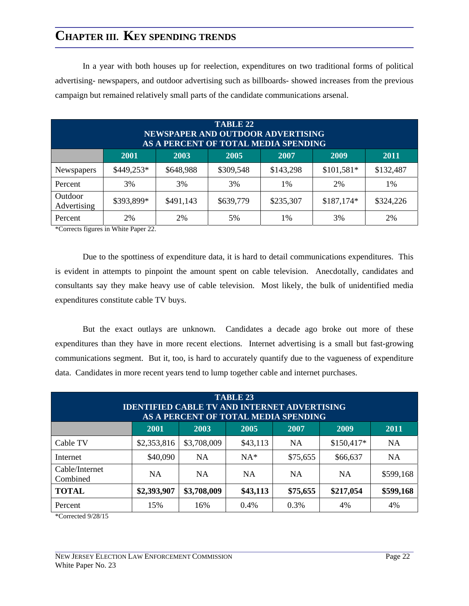In a year with both houses up for reelection, expenditures on two traditional forms of political advertising- newspapers, and outdoor advertising such as billboards- showed increases from the previous campaign but remained relatively small parts of the candidate communications arsenal.

| TABLE 22<br>NEWSPAPER AND OUTDOOR ADVERTISING<br>AS A PERCENT OF TOTAL MEDIA SPENDING |             |           |           |           |             |           |  |  |  |
|---------------------------------------------------------------------------------------|-------------|-----------|-----------|-----------|-------------|-----------|--|--|--|
|                                                                                       | <b>2001</b> | 2003      | 2005      | 2007      | 2009        | 2011      |  |  |  |
| Newspapers                                                                            | \$449,253*  | \$648,988 | \$309,548 | \$143,298 | $$101,581*$ | \$132,487 |  |  |  |
| Percent                                                                               | 3%          | 3%        | 3%        | 1%        | 2%          | 1%        |  |  |  |
| Outdoor<br>Advertising                                                                | \$393,899*  | \$491,143 | \$639,779 | \$235,307 | $$187,174*$ | \$324,226 |  |  |  |
| Percent                                                                               | 2%          | 2%        | 5%        | 1%        | 3%          | 2%        |  |  |  |

\*Corrects figures in White Paper 22.

Due to the spottiness of expenditure data, it is hard to detail communications expenditures. This is evident in attempts to pinpoint the amount spent on cable television. Anecdotally, candidates and consultants say they make heavy use of cable television. Most likely, the bulk of unidentified media expenditures constitute cable TV buys.

But the exact outlays are unknown. Candidates a decade ago broke out more of these expenditures than they have in more recent elections. Internet advertising is a small but fast-growing communications segment. But it, too, is hard to accurately quantify due to the vagueness of expenditure data. Candidates in more recent years tend to lump together cable and internet purchases.

| <b>TABLE 23</b><br><b>IDENTIFIED CABLE TV AND INTERNET ADVERTISING</b><br>AS A PERCENT OF TOTAL MEDIA SPENDING |                                              |             |           |           |             |           |  |  |  |
|----------------------------------------------------------------------------------------------------------------|----------------------------------------------|-------------|-----------|-----------|-------------|-----------|--|--|--|
|                                                                                                                | 2003<br>2005<br>2001<br>2009<br>2007<br>2011 |             |           |           |             |           |  |  |  |
| Cable TV                                                                                                       | \$2,353,816                                  | \$3,708,009 | \$43,113  | <b>NA</b> | $$150,417*$ | <b>NA</b> |  |  |  |
| Internet                                                                                                       | \$40,090                                     | <b>NA</b>   | $NA*$     | \$75,655  | \$66,637    | <b>NA</b> |  |  |  |
| Cable/Internet<br>Combined                                                                                     | <b>NA</b>                                    | <b>NA</b>   | <b>NA</b> | <b>NA</b> | <b>NA</b>   | \$599,168 |  |  |  |
| <b>TOTAL</b>                                                                                                   | \$2,393,907                                  | \$3,708,009 | \$43,113  | \$75,655  | \$217,054   | \$599,168 |  |  |  |
| Percent                                                                                                        | 15%                                          | 16%         | 0.4%      | 0.3%      | 4%          | 4%        |  |  |  |

\*Corrected 9/28/15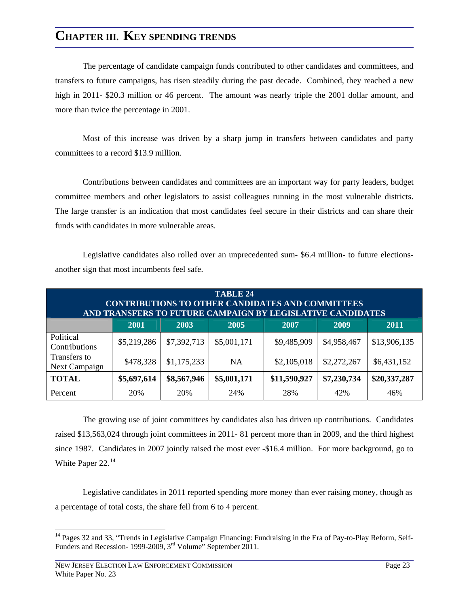The percentage of candidate campaign funds contributed to other candidates and committees, and transfers to future campaigns, has risen steadily during the past decade. Combined, they reached a new high in 2011- \$20.3 million or 46 percent. The amount was nearly triple the 2001 dollar amount, and more than twice the percentage in 2001.

Most of this increase was driven by a sharp jump in transfers between candidates and party committees to a record \$13.9 million.

Contributions between candidates and committees are an important way for party leaders, budget committee members and other legislators to assist colleagues running in the most vulnerable districts. The large transfer is an indication that most candidates feel secure in their districts and can share their funds with candidates in more vulnerable areas.

| <b>TABLE 24</b><br><b>CONTRIBUTIONS TO OTHER CANDIDATES AND COMMITTEES</b><br>AND TRANSFERS TO FUTURE CAMPAIGN BY LEGISLATIVE CANDIDATES |                                                     |             |             |              |             |              |  |  |  |
|------------------------------------------------------------------------------------------------------------------------------------------|-----------------------------------------------------|-------------|-------------|--------------|-------------|--------------|--|--|--|
|                                                                                                                                          | 2009<br>2003<br>2007<br><b>2001</b><br>2005<br>2011 |             |             |              |             |              |  |  |  |
| Political<br>Contributions                                                                                                               | \$5,219,286                                         | \$7,392,713 | \$5,001,171 | \$9,485,909  | \$4,958,467 | \$13,906,135 |  |  |  |
| Transfers to<br>Next Campaign                                                                                                            | \$478,328                                           | \$1,175,233 | <b>NA</b>   | \$2,105,018  | \$2,272,267 | \$6,431,152  |  |  |  |
| <b>TOTAL</b>                                                                                                                             | \$5,697,614                                         | \$8,567,946 | \$5,001,171 | \$11,590,927 | \$7,230,734 | \$20,337,287 |  |  |  |
| Percent                                                                                                                                  | 20%                                                 | 20%         | 24%         | 28%          | 42%         | 46%          |  |  |  |

Legislative candidates also rolled over an unprecedented sum- \$6.4 million- to future electionsanother sign that most incumbents feel safe.

The growing use of joint committees by candidates also has driven up contributions. Candidates raised \$13,563,024 through joint committees in 2011- 81 percent more than in 2009, and the third highest since 1987. Candidates in 2007 jointly raised the most ever -\$16.4 million. For more background, go to White Paper 22.<sup>[14](#page-27-0)</sup>

Legislative candidates in 2011 reported spending more money than ever raising money, though as a percentage of total costs, the share fell from 6 to 4 percent.

<span id="page-27-0"></span><sup>&</sup>lt;sup>14</sup> Pages 32 and 33, "Trends in Legislative Campaign Financing: Fundraising in the Era of Pay-to-Play Reform, Self-Funders and Recession- 1999-2009, 3rd Volume" September 2011.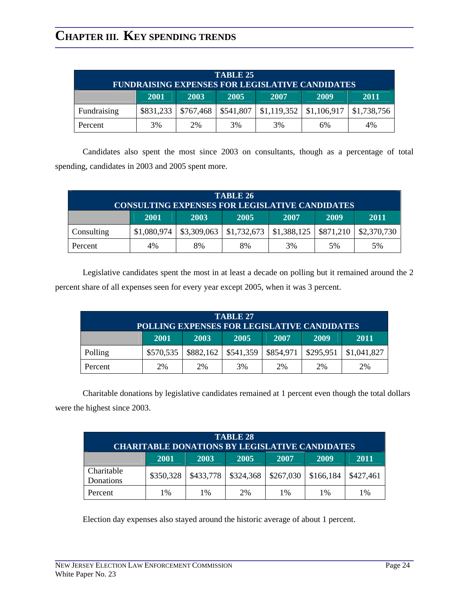| <b>TABLE 25</b><br><b>FUNDRAISING EXPENSES FOR LEGISLATIVE CANDIDATES</b> |                                              |                            |           |                                   |  |             |  |  |  |  |  |
|---------------------------------------------------------------------------|----------------------------------------------|----------------------------|-----------|-----------------------------------|--|-------------|--|--|--|--|--|
|                                                                           | 2003<br>2005<br>2009<br>2007<br>2001<br>2011 |                            |           |                                   |  |             |  |  |  |  |  |
| Fundraising                                                               | \$831,233                                    | \$767,468                  | \$541,807 | $\vert$ \$1,119,352   \$1,106,917 |  | \$1,738,756 |  |  |  |  |  |
| Percent                                                                   | 3%                                           | 3%<br>3%<br>2%<br>4%<br>6% |           |                                   |  |             |  |  |  |  |  |

Candidates also spent the most since 2003 on consultants, though as a percentage of total spending, candidates in 2003 and 2005 spent more.

| TABLE 26<br><b>CONSULTING EXPENSES FOR LEGISLATIVE CANDIDATES</b> |                                              |                       |             |                           |    |                           |  |  |
|-------------------------------------------------------------------|----------------------------------------------|-----------------------|-------------|---------------------------|----|---------------------------|--|--|
|                                                                   | 2001<br>2005<br>2009<br>2003<br>2007<br>2011 |                       |             |                           |    |                           |  |  |
| Consulting                                                        | \$1,080,974                                  | $\frac{$3,309,063}{}$ | \$1,732,673 | $$1,388,125$ \ $$871,210$ |    | $\frac{1}{2}$ \$2,370,730 |  |  |
| Percent                                                           | 4%                                           | 8%                    | 8%          | 3%                        | 5% | 5%                        |  |  |

Legislative candidates spent the most in at least a decade on polling but it remained around the 2 percent share of all expenses seen for every year except 2005, when it was 3 percent.

| TABLE 27<br>POLLING EXPENSES FOR LEGISLATIVE CANDIDATES |                                              |           |           |           |           |             |  |  |  |  |
|---------------------------------------------------------|----------------------------------------------|-----------|-----------|-----------|-----------|-------------|--|--|--|--|
|                                                         | 2005<br>2009<br>2003<br>2007<br>2001<br>2011 |           |           |           |           |             |  |  |  |  |
| Polling                                                 | \$570,535                                    | \$882,162 | \$541,359 | \$854,971 | \$295,951 | \$1,041,827 |  |  |  |  |
| Percent                                                 | 3%<br>2%<br>2%<br>2%<br>2%<br>2%             |           |           |           |           |             |  |  |  |  |

Charitable donations by legislative candidates remained at 1 percent even though the total dollars were the highest since 2003.

| <b>TABLE 28</b><br><b>CHARITABLE DONATIONS BY LEGISLATIVE CANDIDATES</b> |                                  |           |           |           |           |           |  |  |  |
|--------------------------------------------------------------------------|----------------------------------|-----------|-----------|-----------|-----------|-----------|--|--|--|
| 2009<br>2001<br>2007<br>2011<br>2003<br>2005                             |                                  |           |           |           |           |           |  |  |  |
| Charitable<br>Donations                                                  | \$350,328                        | \$433,778 | \$324,368 | \$267,030 | \$166,184 | \$427,461 |  |  |  |
| Percent                                                                  | 2%<br>1%<br>1%<br>1%<br>1%<br>1% |           |           |           |           |           |  |  |  |

Election day expenses also stayed around the historic average of about 1 percent.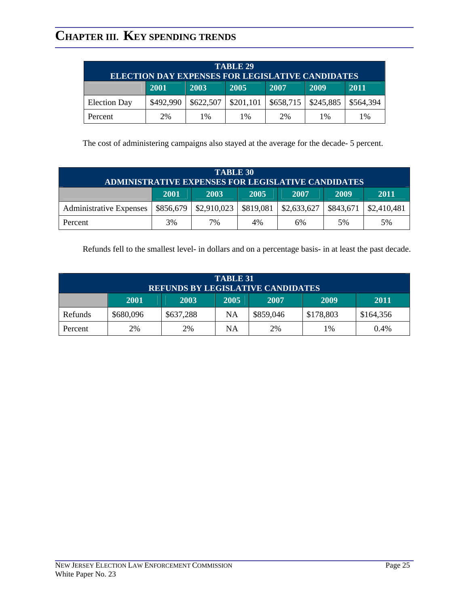| TABLE 29<br><b>ELECTION DAY EXPENSES FOR LEGISLATIVE CANDIDATES</b> |             |           |           |           |           |           |  |  |
|---------------------------------------------------------------------|-------------|-----------|-----------|-----------|-----------|-----------|--|--|
|                                                                     | <b>2001</b> | 2003      | 2005      | 2007      | 2009      | 2011      |  |  |
| <b>Election Day</b>                                                 | \$492,990   | \$622,507 | \$201,101 | \$658,715 | \$245,885 | \$564,394 |  |  |
| Percent                                                             | 2%          | 1%        | $1\%$     | 2%        | $1\%$     | 1%        |  |  |

The cost of administering campaigns also stayed at the average for the decade- 5 percent.

| <b>TABLE 30</b><br><b>ADMINISTRATIVE EXPENSES FOR LEGISLATIVE CANDIDATES</b> |           |             |           |             |           |             |  |  |  |
|------------------------------------------------------------------------------|-----------|-------------|-----------|-------------|-----------|-------------|--|--|--|
| 2009<br>2003<br>2005<br>2011<br>2001<br>2007                                 |           |             |           |             |           |             |  |  |  |
| <b>Administrative Expenses</b>                                               | \$856,679 | \$2,910,023 | \$819,081 | \$2,633,627 | \$843,671 | \$2,410,481 |  |  |  |
| Percent                                                                      | 3%        | 7%          | 4%        | 6%          | 5%        | 5%          |  |  |  |

Refunds fell to the smallest level- in dollars and on a percentage basis- in at least the past decade.

| <b>TABLE 31</b><br><b>REFUNDS BY LEGISLATIVE CANDIDATES</b> |                                              |           |    |                     |           |           |  |  |  |  |  |  |  |
|-------------------------------------------------------------|----------------------------------------------|-----------|----|---------------------|-----------|-----------|--|--|--|--|--|--|--|
|                                                             | 2005<br>2007<br>2009<br>2003<br>2011<br>2001 |           |    |                     |           |           |  |  |  |  |  |  |  |
| Refunds                                                     | \$680,096                                    | \$637,288 | NA | \$859,046           | \$178,803 | \$164,356 |  |  |  |  |  |  |  |
| Percent                                                     | 2%                                           | 2%        | NA | 2%<br>$0.4\%$<br>1% |           |           |  |  |  |  |  |  |  |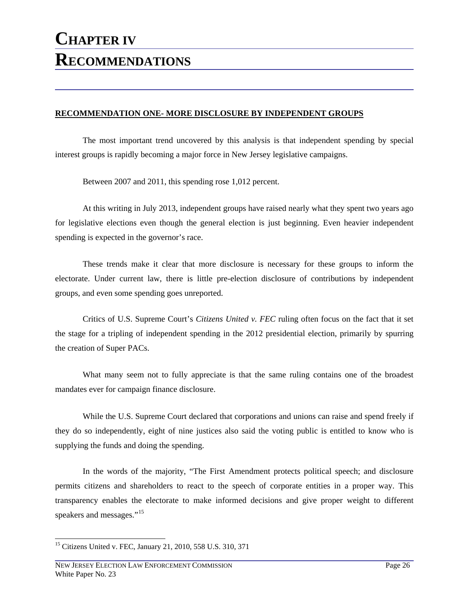#### **RECOMMENDATION ONE- MORE DISCLOSURE BY INDEPENDENT GROUPS**

The most important trend uncovered by this analysis is that independent spending by special interest groups is rapidly becoming a major force in New Jersey legislative campaigns.

Between 2007 and 2011, this spending rose 1,012 percent.

At this writing in July 2013, independent groups have raised nearly what they spent two years ago for legislative elections even though the general election is just beginning. Even heavier independent spending is expected in the governor's race.

These trends make it clear that more disclosure is necessary for these groups to inform the electorate. Under current law, there is little pre-election disclosure of contributions by independent groups, and even some spending goes unreported.

Critics of U.S. Supreme Court's *Citizens United v. FEC* ruling often focus on the fact that it set the stage for a tripling of independent spending in the 2012 presidential election, primarily by spurring the creation of Super PACs.

What many seem not to fully appreciate is that the same ruling contains one of the broadest mandates ever for campaign finance disclosure.

While the U.S. Supreme Court declared that corporations and unions can raise and spend freely if they do so independently, eight of nine justices also said the voting public is entitled to know who is supplying the funds and doing the spending.

In the words of the majority, "The First Amendment protects political speech; and disclosure permits citizens and shareholders to react to the speech of corporate entities in a proper way. This transparency enables the electorate to make informed decisions and give proper weight to different speakers and messages."<sup>[15](#page-30-0)</sup>

<span id="page-30-0"></span> $\overline{a}$ <sup>15</sup> Citizens United v. FEC, January 21, 2010, 558 U.S. 310, 371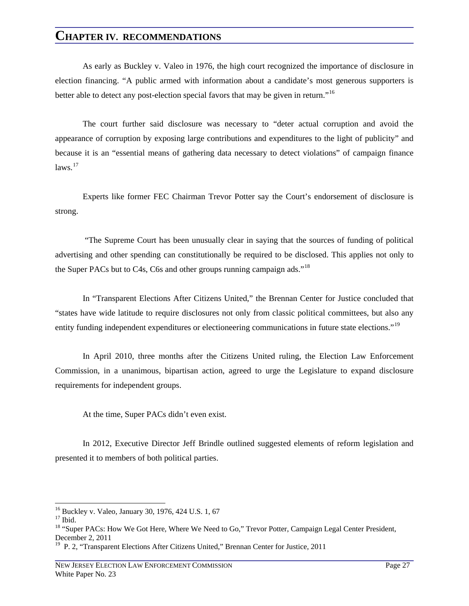As early as Buckley v. Valeo in 1976, the high court recognized the importance of disclosure in election financing. "A public armed with information about a candidate's most generous supporters is better able to detect any post-election special favors that may be given in return."<sup>[16](#page-31-0)</sup>

The court further said disclosure was necessary to "deter actual corruption and avoid the appearance of corruption by exposing large contributions and expenditures to the light of publicity" and because it is an "essential means of gathering data necessary to detect violations" of campaign finance  $laws.<sup>17</sup>$  $laws.<sup>17</sup>$  $laws.<sup>17</sup>$ 

Experts like former FEC Chairman Trevor Potter say the Court's endorsement of disclosure is strong.

 "The Supreme Court has been unusually clear in saying that the sources of funding of political advertising and other spending can constitutionally be required to be disclosed. This applies not only to the Super PACs but to C4s, C6s and other groups running campaign ads."<sup>[18](#page-31-2)</sup>

In "Transparent Elections After Citizens United," the Brennan Center for Justice concluded that "states have wide latitude to require disclosures not only from classic political committees, but also any entity funding independent expenditures or electioneering communications in future state elections."<sup>[19](#page-31-3)</sup>

In April 2010, three months after the Citizens United ruling, the Election Law Enforcement Commission, in a unanimous, bipartisan action, agreed to urge the Legislature to expand disclosure requirements for independent groups.

At the time, Super PACs didn't even exist.

In 2012, Executive Director Jeff Brindle outlined suggested elements of reform legislation and presented it to members of both political parties.

<sup>&</sup>lt;sup>16</sup> Buckley v. Valeo, January 30, 1976, 424 U.S. 1, 67

<span id="page-31-1"></span><span id="page-31-0"></span> $17$  Ibid.

<span id="page-31-2"></span><sup>&</sup>lt;sup>18</sup> "Super PACs: How We Got Here, Where We Need to Go," Trevor Potter, Campaign Legal Center President, December 2, 2011

<span id="page-31-3"></span><sup>&</sup>lt;sup>19</sup> P. 2, "Transparent Elections After Citizens United," Brennan Center for Justice, 2011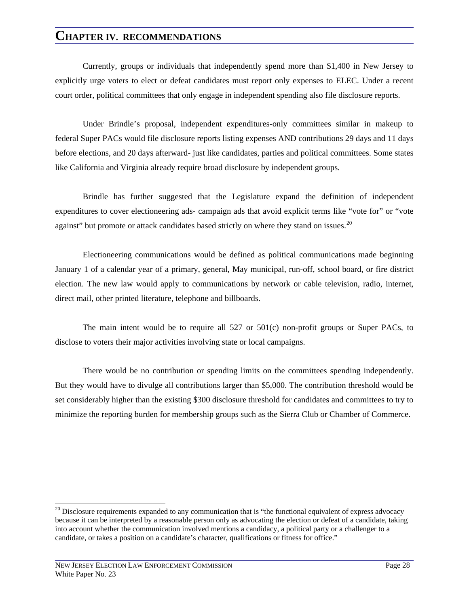Currently, groups or individuals that independently spend more than \$1,400 in New Jersey to explicitly urge voters to elect or defeat candidates must report only expenses to ELEC. Under a recent court order, political committees that only engage in independent spending also file disclosure reports.

Under Brindle's proposal, independent expenditures-only committees similar in makeup to federal Super PACs would file disclosure reports listing expenses AND contributions 29 days and 11 days before elections, and 20 days afterward- just like candidates, parties and political committees. Some states like California and Virginia already require broad disclosure by independent groups.

Brindle has further suggested that the Legislature expand the definition of independent expenditures to cover electioneering ads- campaign ads that avoid explicit terms like "vote for" or "vote against" but promote or attack candidates based strictly on where they stand on issues.<sup>20</sup>

Electioneering communications would be defined as political communications made beginning January 1 of a calendar year of a primary, general, May municipal, run-off, school board, or fire district election. The new law would apply to communications by network or cable television, radio, internet, direct mail, other printed literature, telephone and billboards.

The main intent would be to require all  $527$  or  $501(c)$  non-profit groups or Super PACs, to disclose to voters their major activities involving state or local campaigns.

There would be no contribution or spending limits on the committees spending independently. But they would have to divulge all contributions larger than \$5,000. The contribution threshold would be set considerably higher than the existing \$300 disclosure threshold for candidates and committees to try to minimize the reporting burden for membership groups such as the Sierra Club or Chamber of Commerce.

<span id="page-32-0"></span><sup>&</sup>lt;sup>20</sup> Disclosure requirements expanded to any communication that is "the functional equivalent of express advocacy because it can be interpreted by a reasonable person only as advocating the election or defeat of a candidate, taking into account whether the communication involved mentions a candidacy, a political party or a challenger to a candidate, or takes a position on a candidate's character, qualifications or fitness for office."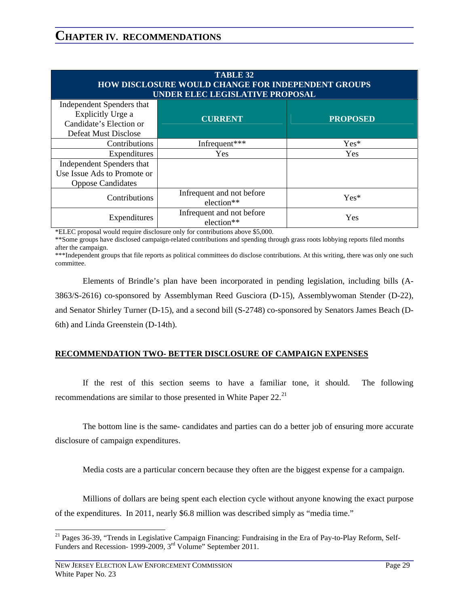| <b>TABLE 32</b><br><b>HOW DISCLOSURE WOULD CHANGE FOR INDEPENDENT GROUPS</b><br>UNDER ELEC LEGISLATIVE PROPOSAL |                                         |                 |  |  |  |  |
|-----------------------------------------------------------------------------------------------------------------|-----------------------------------------|-----------------|--|--|--|--|
| Independent Spenders that<br>Explicitly Urge a<br>Candidate's Election or<br><b>Defeat Must Disclose</b>        | <b>CURRENT</b>                          | <b>PROPOSED</b> |  |  |  |  |
| Contributions                                                                                                   | Infrequent***                           | $Yes*$          |  |  |  |  |
| Expenditures                                                                                                    | <b>Yes</b>                              | <b>Yes</b>      |  |  |  |  |
| Independent Spenders that                                                                                       |                                         |                 |  |  |  |  |
| Use Issue Ads to Promote or<br><b>Oppose Candidates</b>                                                         |                                         |                 |  |  |  |  |
| Contributions                                                                                                   | Infrequent and not before<br>election** | $Yes*$          |  |  |  |  |
| Expenditures                                                                                                    | Infrequent and not before<br>election** | Yes             |  |  |  |  |

\*ELEC proposal would require disclosure only for contributions above \$5,000.

\*\*Some groups have disclosed campaign-related contributions and spending through grass roots lobbying reports filed months after the campaign.

\*\*\*Independent groups that file reports as political committees do disclose contributions. At this writing, there was only one such committee.

Elements of Brindle's plan have been incorporated in pending legislation, including bills (A-3863/S-2616) co-sponsored by Assemblyman Reed Gusciora (D-15), Assemblywoman Stender (D-22), and Senator Shirley Turner (D-15), and a second bill (S-2748) co-sponsored by Senators James Beach (D-6th) and Linda Greenstein (D-14th).

#### **RECOMMENDATION TWO- BETTER DISCLOSURE OF CAMPAIGN EXPENSES**

If the rest of this section seems to have a familiar tone, it should. The following recommendations are similar to those presented in White Paper 22.<sup>[21](#page-33-0)</sup>

The bottom line is the same- candidates and parties can do a better job of ensuring more accurate disclosure of campaign expenditures.

Media costs are a particular concern because they often are the biggest expense for a campaign.

Millions of dollars are being spent each election cycle without anyone knowing the exact purpose of the expenditures. In 2011, nearly \$6.8 million was described simply as "media time."

<span id="page-33-0"></span><sup>&</sup>lt;sup>21</sup> Pages 36-39, "Trends in Legislative Campaign Financing: Fundraising in the Era of Pay-to-Play Reform, Self-Funders and Recession- 1999-2009, 3rd Volume" September 2011.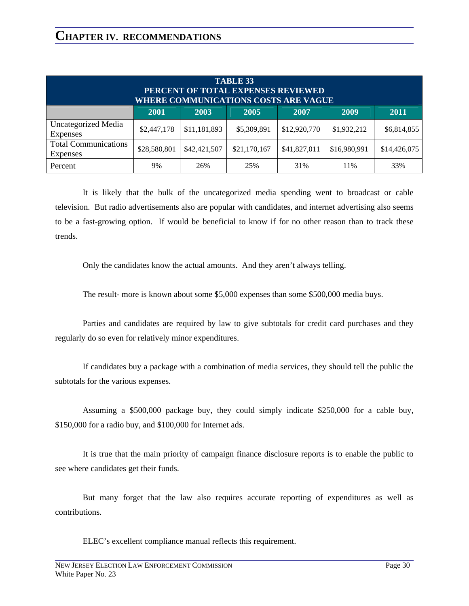| <b>TABLE 33</b><br>PERCENT OF TOTAL EXPENSES REVIEWED<br><b>WHERE COMMUNICATIONS COSTS ARE VAGUE</b> |              |              |              |              |              |              |
|------------------------------------------------------------------------------------------------------|--------------|--------------|--------------|--------------|--------------|--------------|
|                                                                                                      | 2001         | 2003         | 2005         | 2007         | 2009         | 2011         |
| <b>Uncategorized Media</b><br>Expenses                                                               | \$2,447,178  | \$11,181,893 | \$5,309,891  | \$12,920,770 | \$1,932,212  | \$6,814,855  |
| <b>Total Communications</b><br><b>Expenses</b>                                                       | \$28,580,801 | \$42,421,507 | \$21,170,167 | \$41,827,011 | \$16,980,991 | \$14,426,075 |
| Percent                                                                                              | 9%           | 26%          | 25%          | 31%          | 11%          | 33%          |

It is likely that the bulk of the uncategorized media spending went to broadcast or cable television. But radio advertisements also are popular with candidates, and internet advertising also seems to be a fast-growing option. If would be beneficial to know if for no other reason than to track these trends.

Only the candidates know the actual amounts. And they aren't always telling.

The result- more is known about some \$5,000 expenses than some \$500,000 media buys.

Parties and candidates are required by law to give subtotals for credit card purchases and they regularly do so even for relatively minor expenditures.

If candidates buy a package with a combination of media services, they should tell the public the subtotals for the various expenses.

Assuming a \$500,000 package buy, they could simply indicate \$250,000 for a cable buy, \$150,000 for a radio buy, and \$100,000 for Internet ads.

It is true that the main priority of campaign finance disclosure reports is to enable the public to see where candidates get their funds.

But many forget that the law also requires accurate reporting of expenditures as well as contributions.

ELEC's excellent compliance manual reflects this requirement.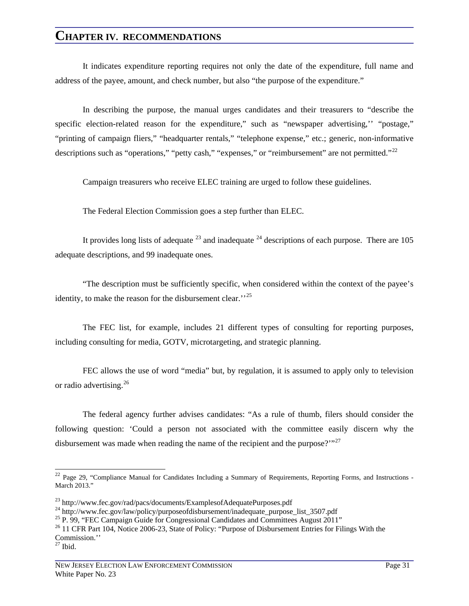It indicates expenditure reporting requires not only the date of the expenditure, full name and address of the payee, amount, and check number, but also "the purpose of the expenditure."

In describing the purpose, the manual urges candidates and their treasurers to "describe the specific election-related reason for the expenditure," such as "newspaper advertising," "postage," "printing of campaign fliers," "headquarter rentals," "telephone expense," etc.; generic, non-informative descriptions such as "operations," "petty cash," "expenses," or "reimbursement" are not permitted."<sup>[22](#page-35-0)</sup>

Campaign treasurers who receive ELEC training are urged to follow these guidelines.

The Federal Election Commission goes a step further than ELEC.

It provides long lists of adequate  $^{23}$  and inadequate  $^{24}$  $^{24}$  $^{24}$  descriptions of each purpose. There are 105 adequate descriptions, and 99 inadequate ones.

"The description must be sufficiently specific, when considered within the context of the payee's identity, to make the reason for the disbursement clear."<sup>[25](#page-35-3)</sup>

The FEC list, for example, includes 21 different types of consulting for reporting purposes, including consulting for media, GOTV, microtargeting, and strategic planning.

FEC allows the use of word "media" but, by regulation, it is assumed to apply only to television or radio advertising.[26](#page-35-4)

The federal agency further advises candidates: "As a rule of thumb, filers should consider the following question: 'Could a person not associated with the committee easily discern why the disbursement was made when reading the name of the recipient and the purpose?' $127$  $127$ 

<span id="page-35-0"></span> $22$  Page 29, "Compliance Manual for Candidates Including a Summary of Requirements, Reporting Forms, and Instructions -March 2013."

<span id="page-35-2"></span><span id="page-35-1"></span><sup>&</sup>lt;sup>23</sup> http://www.fec.gov/rad/pacs/documents/ExamplesofAdequatePurposes.pdf<br><sup>24</sup> http://www.fec.gov/law/policy/purposeofdisbursement/inadequate\_purpose\_list\_3507.pdf<br><sup>25</sup> P. 99, "FEC Campaign Guide for Congressional Candida

<span id="page-35-4"></span><span id="page-35-3"></span><sup>&</sup>lt;sup>26</sup> 11 CFR Part 104, Notice 2006-23, State of Policy: "Purpose of Disbursement Entries for Filings With the Commission.''

<span id="page-35-5"></span> $27$  Ibid.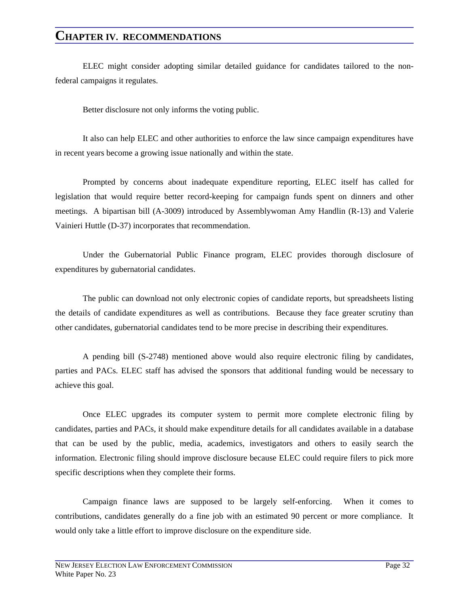ELEC might consider adopting similar detailed guidance for candidates tailored to the nonfederal campaigns it regulates.

Better disclosure not only informs the voting public.

It also can help ELEC and other authorities to enforce the law since campaign expenditures have in recent years become a growing issue nationally and within the state.

Prompted by concerns about inadequate expenditure reporting, ELEC itself has called for legislation that would require better record-keeping for campaign funds spent on dinners and other meetings. A bipartisan bill (A-3009) introduced by Assemblywoman Amy Handlin (R-13) and Valerie Vainieri Huttle (D-37) incorporates that recommendation.

Under the Gubernatorial Public Finance program, ELEC provides thorough disclosure of expenditures by gubernatorial candidates.

The public can download not only electronic copies of candidate reports, but spreadsheets listing the details of candidate expenditures as well as contributions. Because they face greater scrutiny than other candidates, gubernatorial candidates tend to be more precise in describing their expenditures.

A pending bill (S-2748) mentioned above would also require electronic filing by candidates, parties and PACs. ELEC staff has advised the sponsors that additional funding would be necessary to achieve this goal.

Once ELEC upgrades its computer system to permit more complete electronic filing by candidates, parties and PACs, it should make expenditure details for all candidates available in a database that can be used by the public, media, academics, investigators and others to easily search the information. Electronic filing should improve disclosure because ELEC could require filers to pick more specific descriptions when they complete their forms.

Campaign finance laws are supposed to be largely self-enforcing. When it comes to contributions, candidates generally do a fine job with an estimated 90 percent or more compliance. It would only take a little effort to improve disclosure on the expenditure side.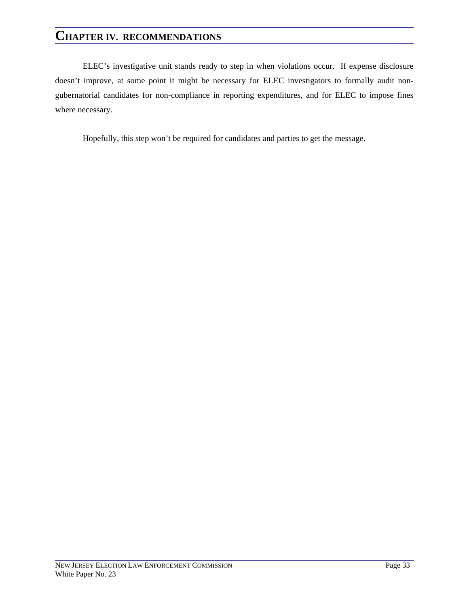ELEC's investigative unit stands ready to step in when violations occur. If expense disclosure doesn't improve, at some point it might be necessary for ELEC investigators to formally audit nongubernatorial candidates for non-compliance in reporting expenditures, and for ELEC to impose fines where necessary.

Hopefully, this step won't be required for candidates and parties to get the message.